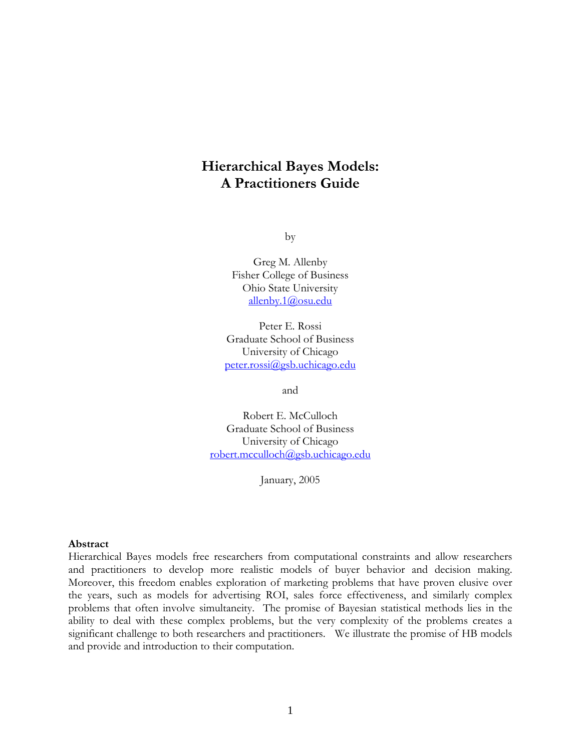## **Hierarchical Bayes Models: A Practitioners Guide**

by

Greg M. Allenby Fisher College of Business Ohio State University allenby.1@osu.edu

Peter E. Rossi Graduate School of Business University of Chicago peter.rossi@gsb.uchicago.edu

and

Robert E. McCulloch Graduate School of Business University of Chicago robert.mcculloch@gsb.uchicago.edu

January, 2005

#### **Abstract**

Hierarchical Bayes models free researchers from computational constraints and allow researchers and practitioners to develop more realistic models of buyer behavior and decision making. Moreover, this freedom enables exploration of marketing problems that have proven elusive over the years, such as models for advertising ROI, sales force effectiveness, and similarly complex problems that often involve simultaneity. The promise of Bayesian statistical methods lies in the ability to deal with these complex problems, but the very complexity of the problems creates a significant challenge to both researchers and practitioners. We illustrate the promise of HB models and provide and introduction to their computation.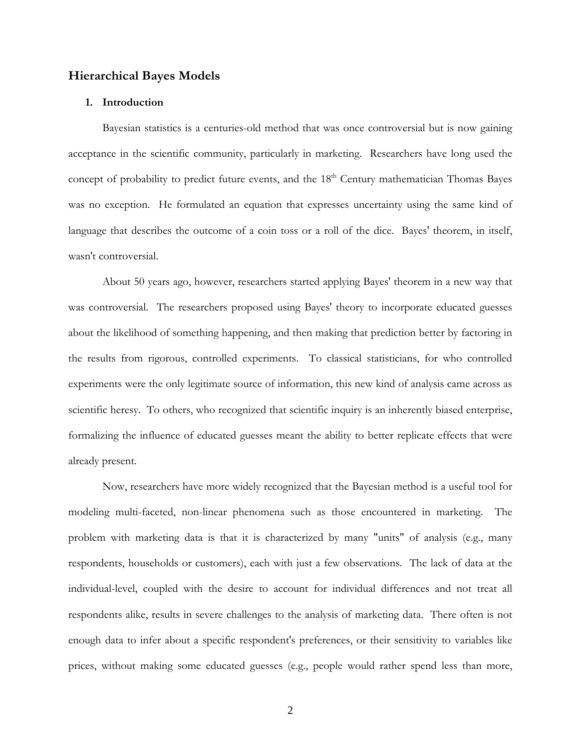## **Hierarchical Bayes Models**

## **1. Introduction**

Bayesian statistics is a centuries-old method that was once controversial but is now gaining acceptance in the scientific community, particularly in marketing. Researchers have long used the concept of probability to predict future events, and the  $18<sup>th</sup>$  Century mathematician Thomas Bayes was no exception. He formulated an equation that expresses uncertainty using the same kind of language that describes the outcome of a coin toss or a roll of the dice. Bayes' theorem, in itself, wasn't controversial.

About 50 years ago, however, researchers started applying Bayes' theorem in a new way that was controversial. The researchers proposed using Bayes' theory to incorporate educated guesses about the likelihood of something happening, and then making that prediction better by factoring in the results from rigorous, controlled experiments. To classical statisticians, for who controlled experiments were the only legitimate source of information, this new kind of analysis came across as scientific heresy. To others, who recognized that scientific inquiry is an inherently biased enterprise, formalizing the influence of educated guesses meant the ability to better replicate effects that were already present.

Now, researchers have more widely recognized that the Bayesian method is a useful tool for modeling multi-faceted, non-linear phenomena such as those encountered in marketing. The problem with marketing data is that it is characterized by many "units" of analysis (e.g., many respondents, households or customers), each with just a few observations. The lack of data at the individual-level, coupled with the desire to account for individual differences and not treat all respondents alike, results in severe challenges to the analysis of marketing data. There often is not enough data to infer about a specific respondent's preferences, or their sensitivity to variables like prices, without making some educated guesses (e.g., people would rather spend less than more,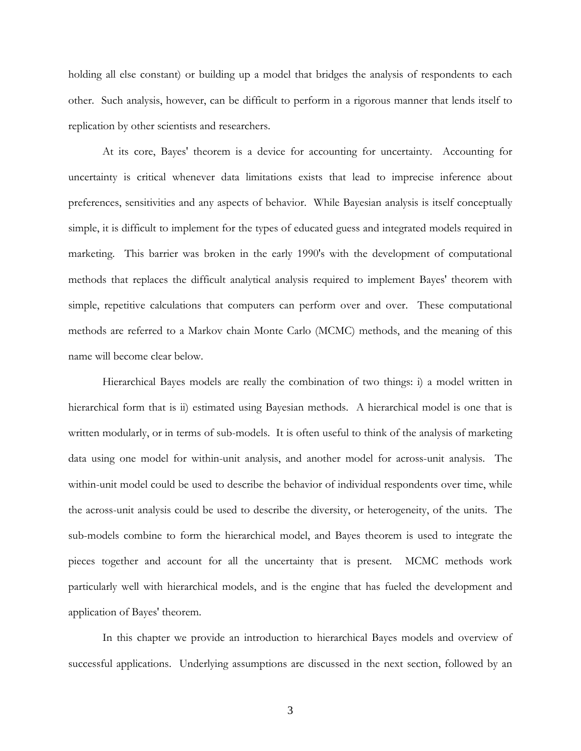holding all else constant) or building up a model that bridges the analysis of respondents to each other. Such analysis, however, can be difficult to perform in a rigorous manner that lends itself to replication by other scientists and researchers.

At its core, Bayes' theorem is a device for accounting for uncertainty. Accounting for uncertainty is critical whenever data limitations exists that lead to imprecise inference about preferences, sensitivities and any aspects of behavior. While Bayesian analysis is itself conceptually simple, it is difficult to implement for the types of educated guess and integrated models required in marketing. This barrier was broken in the early 1990's with the development of computational methods that replaces the difficult analytical analysis required to implement Bayes' theorem with simple, repetitive calculations that computers can perform over and over. These computational methods are referred to a Markov chain Monte Carlo (MCMC) methods, and the meaning of this name will become clear below.

Hierarchical Bayes models are really the combination of two things: i) a model written in hierarchical form that is ii) estimated using Bayesian methods. A hierarchical model is one that is written modularly, or in terms of sub-models. It is often useful to think of the analysis of marketing data using one model for within-unit analysis, and another model for across-unit analysis. The within-unit model could be used to describe the behavior of individual respondents over time, while the across-unit analysis could be used to describe the diversity, or heterogeneity, of the units. The sub-models combine to form the hierarchical model, and Bayes theorem is used to integrate the pieces together and account for all the uncertainty that is present. MCMC methods work particularly well with hierarchical models, and is the engine that has fueled the development and application of Bayes' theorem.

In this chapter we provide an introduction to hierarchical Bayes models and overview of successful applications. Underlying assumptions are discussed in the next section, followed by an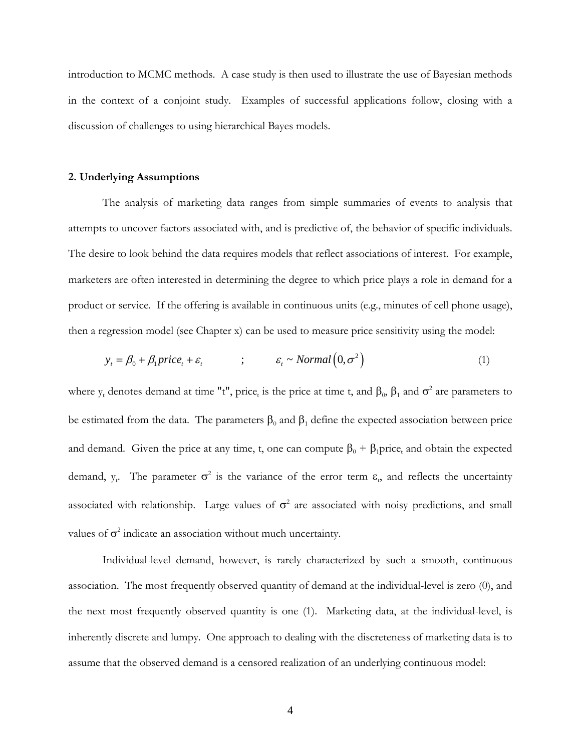introduction to MCMC methods. A case study is then used to illustrate the use of Bayesian methods in the context of a conjoint study. Examples of successful applications follow, closing with a discussion of challenges to using hierarchical Bayes models.

## **2. Underlying Assumptions**

 The analysis of marketing data ranges from simple summaries of events to analysis that attempts to uncover factors associated with, and is predictive of, the behavior of specific individuals. The desire to look behind the data requires models that reflect associations of interest. For example, marketers are often interested in determining the degree to which price plays a role in demand for a product or service. If the offering is available in continuous units (e.g., minutes of cell phone usage), then a regression model (see Chapter x) can be used to measure price sensitivity using the model:

$$
y_t = \beta_0 + \beta_1 price_t + \varepsilon_t \qquad ; \qquad \varepsilon_t \sim Normal\left(0, \sigma^2\right) \tag{1}
$$

where  $y_t$  denotes demand at time "t", price, is the price at time t, and  $\beta_0$ ,  $\beta_1$  and  $\sigma^2$  are parameters to be estimated from the data. The parameters  $\beta_0$  and  $\beta_1$  define the expected association between price and demand. Given the price at any time, t, one can compute  $\beta_0 + \beta_1$ price, and obtain the expected demand,  $y_t$ . The parameter  $\sigma^2$  is the variance of the error term  $\varepsilon_t$ , and reflects the uncertainty associated with relationship. Large values of  $\sigma^2$  are associated with noisy predictions, and small values of  $\sigma^2$  indicate an association without much uncertainty.

 Individual-level demand, however, is rarely characterized by such a smooth, continuous association. The most frequently observed quantity of demand at the individual-level is zero (0), and the next most frequently observed quantity is one (1). Marketing data, at the individual-level, is inherently discrete and lumpy. One approach to dealing with the discreteness of marketing data is to assume that the observed demand is a censored realization of an underlying continuous model: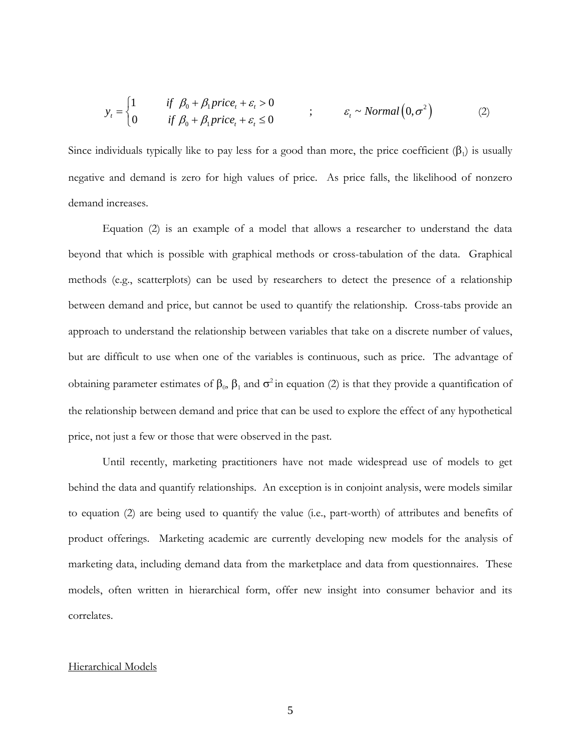$$
y_t = \begin{cases} 1 & \text{if } \beta_0 + \beta_1 \text{price}_t + \varepsilon_t > 0 \\ 0 & \text{if } \beta_0 + \beta_1 \text{price}_t + \varepsilon_t \le 0 \end{cases} \qquad ; \qquad \varepsilon_t \sim Normal\left(0, \sigma^2\right) \tag{2}
$$

Since individuals typically like to pay less for a good than more, the price coefficient  $(\beta_1)$  is usually negative and demand is zero for high values of price. As price falls, the likelihood of nonzero demand increases.

Equation (2) is an example of a model that allows a researcher to understand the data beyond that which is possible with graphical methods or cross-tabulation of the data. Graphical methods (e.g., scatterplots) can be used by researchers to detect the presence of a relationship between demand and price, but cannot be used to quantify the relationship. Cross-tabs provide an approach to understand the relationship between variables that take on a discrete number of values, but are difficult to use when one of the variables is continuous, such as price. The advantage of obtaining parameter estimates of  $\beta_0$ ,  $\beta_1$  and  $\sigma^2$  in equation (2) is that they provide a quantification of the relationship between demand and price that can be used to explore the effect of any hypothetical price, not just a few or those that were observed in the past.

Until recently, marketing practitioners have not made widespread use of models to get behind the data and quantify relationships. An exception is in conjoint analysis, were models similar to equation (2) are being used to quantify the value (i.e., part-worth) of attributes and benefits of product offerings. Marketing academic are currently developing new models for the analysis of marketing data, including demand data from the marketplace and data from questionnaires. These models, often written in hierarchical form, offer new insight into consumer behavior and its correlates.

#### Hierarchical Models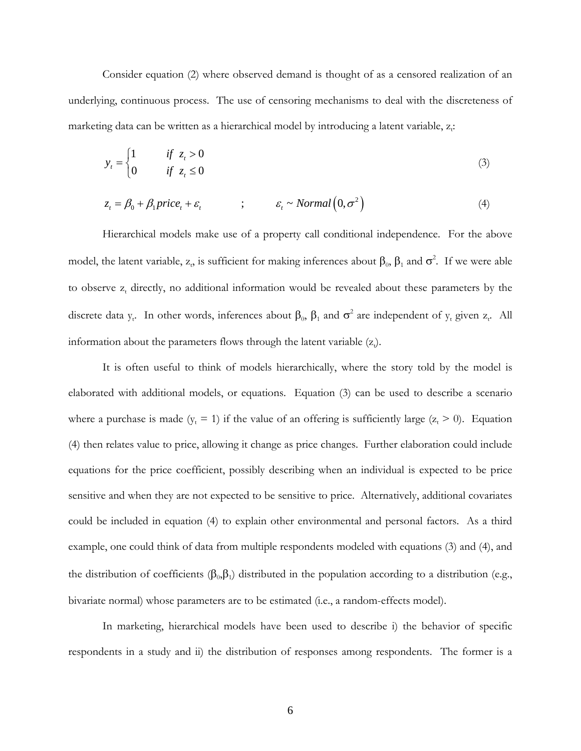Consider equation (2) where observed demand is thought of as a censored realization of an underlying, continuous process. The use of censoring mechanisms to deal with the discreteness of marketing data can be written as a hierarchical model by introducing a latent variable, z<sub>t</sub>:

$$
y_t = \begin{cases} 1 & \text{if } z_t > 0 \\ 0 & \text{if } z_t \le 0 \end{cases}
$$
 (3)

$$
z_t = \beta_0 + \beta_1 price_t + \varepsilon_t \qquad ; \qquad \varepsilon_t \sim Normal\left(0, \sigma^2\right) \tag{4}
$$

Hierarchical models make use of a property call conditional independence. For the above model, the latent variable,  $z_t$ , is sufficient for making inferences about  $\beta_0$ ,  $\beta_1$  and  $\sigma^2$ . If we were able to observe  $z_t$  directly, no additional information would be revealed about these parameters by the discrete data  $y_t$ . In other words, inferences about  $\beta_0$ ,  $\beta_1$  and  $\sigma^2$  are independent of  $y_t$  given  $z_t$ . All information about the parameters flows through the latent variable  $(z<sub>i</sub>)$ .

It is often useful to think of models hierarchically, where the story told by the model is elaborated with additional models, or equations. Equation (3) can be used to describe a scenario where a purchase is made  $(y_t = 1)$  if the value of an offering is sufficiently large  $(z_t > 0)$ . Equation (4) then relates value to price, allowing it change as price changes. Further elaboration could include equations for the price coefficient, possibly describing when an individual is expected to be price sensitive and when they are not expected to be sensitive to price. Alternatively, additional covariates could be included in equation (4) to explain other environmental and personal factors. As a third example, one could think of data from multiple respondents modeled with equations (3) and (4), and the distribution of coefficients ( $\beta_0$ , $\beta_1$ ) distributed in the population according to a distribution (e.g., bivariate normal) whose parameters are to be estimated (i.e., a random-effects model).

In marketing, hierarchical models have been used to describe i) the behavior of specific respondents in a study and ii) the distribution of responses among respondents. The former is a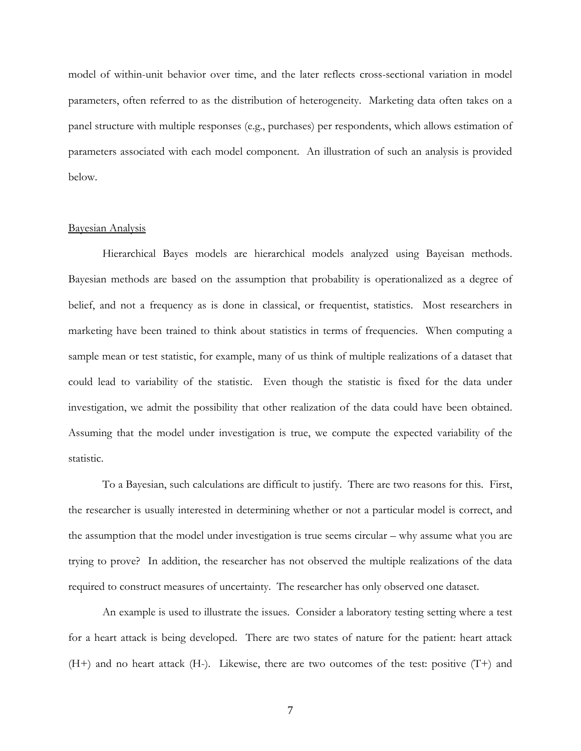model of within-unit behavior over time, and the later reflects cross-sectional variation in model parameters, often referred to as the distribution of heterogeneity. Marketing data often takes on a panel structure with multiple responses (e.g., purchases) per respondents, which allows estimation of parameters associated with each model component. An illustration of such an analysis is provided below.

## Bayesian Analysis

Hierarchical Bayes models are hierarchical models analyzed using Bayeisan methods. Bayesian methods are based on the assumption that probability is operationalized as a degree of belief, and not a frequency as is done in classical, or frequentist, statistics. Most researchers in marketing have been trained to think about statistics in terms of frequencies. When computing a sample mean or test statistic, for example, many of us think of multiple realizations of a dataset that could lead to variability of the statistic. Even though the statistic is fixed for the data under investigation, we admit the possibility that other realization of the data could have been obtained. Assuming that the model under investigation is true, we compute the expected variability of the statistic.

To a Bayesian, such calculations are difficult to justify. There are two reasons for this. First, the researcher is usually interested in determining whether or not a particular model is correct, and the assumption that the model under investigation is true seems circular – why assume what you are trying to prove? In addition, the researcher has not observed the multiple realizations of the data required to construct measures of uncertainty. The researcher has only observed one dataset.

An example is used to illustrate the issues. Consider a laboratory testing setting where a test for a heart attack is being developed. There are two states of nature for the patient: heart attack (H+) and no heart attack (H-). Likewise, there are two outcomes of the test: positive (T+) and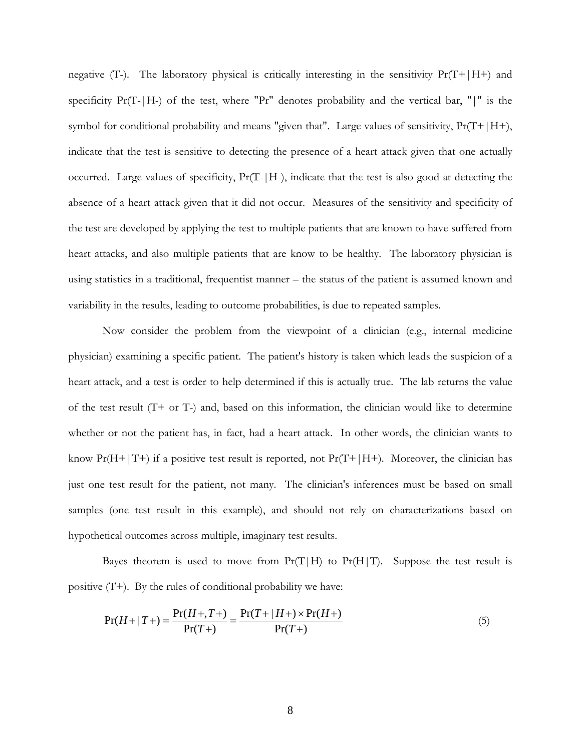negative (T-). The laboratory physical is critically interesting in the sensitivity  $Pr(T+|H+)$  and specificity Pr(T-|H-) of the test, where "Pr" denotes probability and the vertical bar, "|" is the symbol for conditional probability and means "given that". Large values of sensitivity,  $Pr(T+|H+)$ , indicate that the test is sensitive to detecting the presence of a heart attack given that one actually occurred. Large values of specificity,  $Pr(T-|H)$ , indicate that the test is also good at detecting the absence of a heart attack given that it did not occur. Measures of the sensitivity and specificity of the test are developed by applying the test to multiple patients that are known to have suffered from heart attacks, and also multiple patients that are know to be healthy. The laboratory physician is using statistics in a traditional, frequentist manner – the status of the patient is assumed known and variability in the results, leading to outcome probabilities, is due to repeated samples.

Now consider the problem from the viewpoint of a clinician (e.g., internal medicine physician) examining a specific patient. The patient's history is taken which leads the suspicion of a heart attack, and a test is order to help determined if this is actually true. The lab returns the value of the test result (T+ or T-) and, based on this information, the clinician would like to determine whether or not the patient has, in fact, had a heart attack. In other words, the clinician wants to know  $Pr(H+|T+)$  if a positive test result is reported, not  $Pr(T+|H+)$ . Moreover, the clinician has just one test result for the patient, not many. The clinician's inferences must be based on small samples (one test result in this example), and should not rely on characterizations based on hypothetical outcomes across multiple, imaginary test results.

Bayes theorem is used to move from  $Pr(T|H)$  to  $Pr(H|T)$ . Suppose the test result is positive  $(T+)$ . By the rules of conditional probability we have:

$$
Pr(H+|T+) = \frac{Pr(H+,T+)}{Pr(T+)} = \frac{Pr(T+|H+) \times Pr(H+)}{Pr(T+)} \tag{5}
$$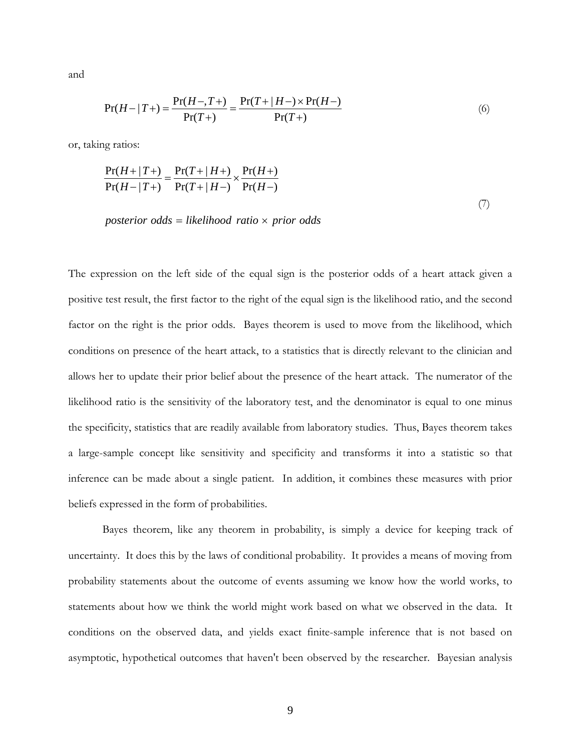and

$$
Pr(H - |T + ) = \frac{Pr(H - ,T + )}{Pr(T + )} = \frac{Pr(T + |H - ) \times Pr(H - )}{Pr(T + )}
$$
(6)

or, taking ratios:

$$
\frac{\Pr(H+|T+)}{\Pr(H-|T+)} = \frac{\Pr(T+|H+)}{\Pr(T+|H-)} \times \frac{\Pr(H+)}{\Pr(H-)}\tag{7}
$$

 $posterior$  *odds* = *likelihood ratio × prior odds* 

The expression on the left side of the equal sign is the posterior odds of a heart attack given a positive test result, the first factor to the right of the equal sign is the likelihood ratio, and the second factor on the right is the prior odds. Bayes theorem is used to move from the likelihood, which conditions on presence of the heart attack, to a statistics that is directly relevant to the clinician and allows her to update their prior belief about the presence of the heart attack. The numerator of the likelihood ratio is the sensitivity of the laboratory test, and the denominator is equal to one minus the specificity, statistics that are readily available from laboratory studies. Thus, Bayes theorem takes a large-sample concept like sensitivity and specificity and transforms it into a statistic so that inference can be made about a single patient. In addition, it combines these measures with prior beliefs expressed in the form of probabilities.

 Bayes theorem, like any theorem in probability, is simply a device for keeping track of uncertainty. It does this by the laws of conditional probability. It provides a means of moving from probability statements about the outcome of events assuming we know how the world works, to statements about how we think the world might work based on what we observed in the data. It conditions on the observed data, and yields exact finite-sample inference that is not based on asymptotic, hypothetical outcomes that haven't been observed by the researcher. Bayesian analysis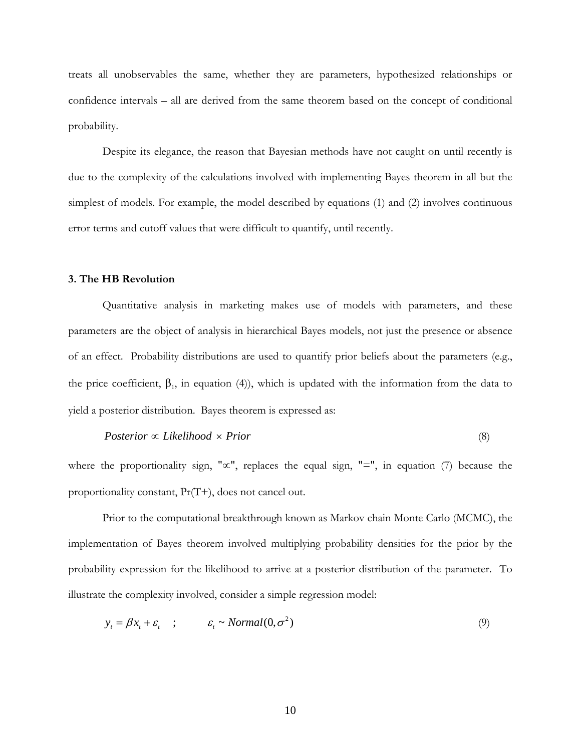treats all unobservables the same, whether they are parameters, hypothesized relationships or confidence intervals – all are derived from the same theorem based on the concept of conditional probability.

Despite its elegance, the reason that Bayesian methods have not caught on until recently is due to the complexity of the calculations involved with implementing Bayes theorem in all but the simplest of models. For example, the model described by equations (1) and (2) involves continuous error terms and cutoff values that were difficult to quantify, until recently.

## **3. The HB Revolution**

 Quantitative analysis in marketing makes use of models with parameters, and these parameters are the object of analysis in hierarchical Bayes models, not just the presence or absence of an effect. Probability distributions are used to quantify prior beliefs about the parameters (e.g., the price coefficient,  $\beta_1$ , in equation (4)), which is updated with the information from the data to yield a posterior distribution. Bayes theorem is expressed as:

$$
Posterior \propto Likelihood \times Prior
$$
 (8)

where the proportionality sign, "∝", replaces the equal sign, "=", in equation (7) because the proportionality constant, Pr(T+), does not cancel out.

 Prior to the computational breakthrough known as Markov chain Monte Carlo (MCMC), the implementation of Bayes theorem involved multiplying probability densities for the prior by the probability expression for the likelihood to arrive at a posterior distribution of the parameter. To illustrate the complexity involved, consider a simple regression model:

$$
y_t = \beta x_t + \varepsilon_t \quad ; \qquad \varepsilon_t \sim Normal(0, \sigma^2)
$$
 (9)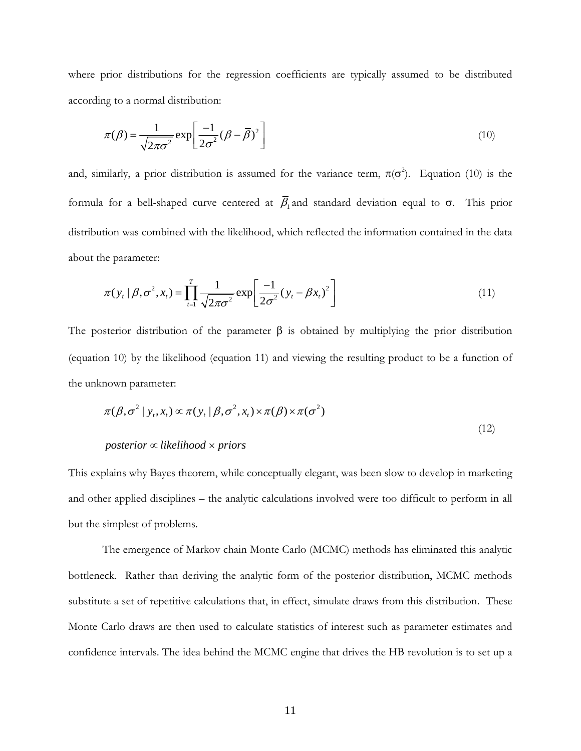where prior distributions for the regression coefficients are typically assumed to be distributed according to a normal distribution:

$$
\pi(\beta) = \frac{1}{\sqrt{2\pi\sigma^2}} \exp\left[\frac{-1}{2\sigma^2} (\beta - \overline{\beta})^2\right]
$$
\n(10)

and, similarly, a prior distribution is assumed for the variance term,  $\pi(\sigma^2)$ . Equation (10) is the formula for a bell-shaped curve centered at  $\overline{\beta}_1$  and standard deviation equal to  $\sigma$ . This prior distribution was combined with the likelihood, which reflected the information contained in the data about the parameter:

$$
\pi(y_t | \beta, \sigma^2, x_t) = \prod_{t=1}^T \frac{1}{\sqrt{2\pi\sigma^2}} \exp\left[\frac{-1}{2\sigma^2} (y_t - \beta x_t)^2\right]
$$
(11)

The posterior distribution of the parameter  $\beta$  is obtained by multiplying the prior distribution (equation 10) by the likelihood (equation 11) and viewing the resulting product to be a function of the unknown parameter:

$$
\pi(\beta, \sigma^2 | y_t, x_t) \propto \pi(y_t | \beta, \sigma^2, x_t) \times \pi(\beta) \times \pi(\sigma^2)
$$
  
\n
$$
posterior \propto likelihood \times priors
$$
\n(12)

# This explains why Bayes theorem, while conceptually elegant, was been slow to develop in marketing and other applied disciplines – the analytic calculations involved were too difficult to perform in all but the simplest of problems.

 The emergence of Markov chain Monte Carlo (MCMC) methods has eliminated this analytic bottleneck. Rather than deriving the analytic form of the posterior distribution, MCMC methods substitute a set of repetitive calculations that, in effect, simulate draws from this distribution. These Monte Carlo draws are then used to calculate statistics of interest such as parameter estimates and confidence intervals. The idea behind the MCMC engine that drives the HB revolution is to set up a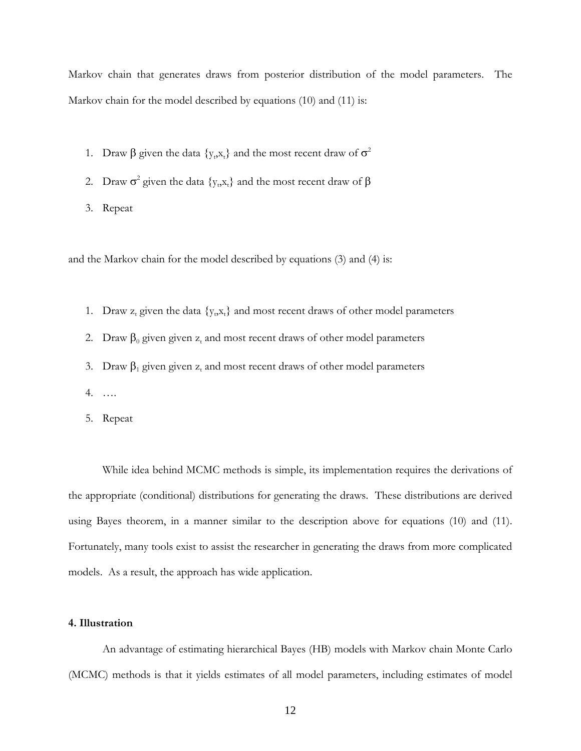Markov chain that generates draws from posterior distribution of the model parameters. The Markov chain for the model described by equations (10) and (11) is:

- 1. Draw β given the data  $\{y_t, x_t\}$  and the most recent draw of  $\sigma^2$
- 2. Draw  $\sigma^2$  given the data  $\{y_\nu x_\nu\}$  and the most recent draw of β
- 3. Repeat

and the Markov chain for the model described by equations (3) and (4) is:

- 1. Draw  $z_t$  given the data  $\{y_t, x_t\}$  and most recent draws of other model parameters
- 2. Draw  $\beta_0$  given given  $z_t$  and most recent draws of other model parameters
- 3. Draw  $\beta_1$  given given  $z_t$  and most recent draws of other model parameters
- 4. ….
- 5. Repeat

While idea behind MCMC methods is simple, its implementation requires the derivations of the appropriate (conditional) distributions for generating the draws. These distributions are derived using Bayes theorem, in a manner similar to the description above for equations (10) and (11). Fortunately, many tools exist to assist the researcher in generating the draws from more complicated models. As a result, the approach has wide application.

## **4. Illustration**

 An advantage of estimating hierarchical Bayes (HB) models with Markov chain Monte Carlo (MCMC) methods is that it yields estimates of all model parameters, including estimates of model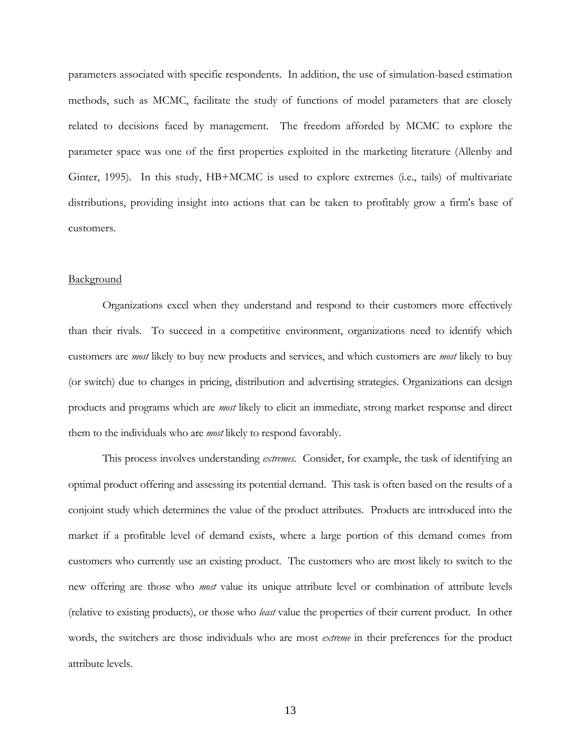parameters associated with specific respondents. In addition, the use of simulation-based estimation methods, such as MCMC, facilitate the study of functions of model parameters that are closely related to decisions faced by management. The freedom afforded by MCMC to explore the parameter space was one of the first properties exploited in the marketing literature (Allenby and Ginter, 1995). In this study, HB+MCMC is used to explore extremes (i.e., tails) of multivariate distributions, providing insight into actions that can be taken to profitably grow a firm's base of customers.

#### **Background**

 Organizations excel when they understand and respond to their customers more effectively than their rivals. To succeed in a competitive environment, organizations need to identify which customers are *most* likely to buy new products and services, and which customers are *most* likely to buy (or switch) due to changes in pricing, distribution and advertising strategies. Organizations can design products and programs which are *most* likely to elicit an immediate, strong market response and direct them to the individuals who are *most* likely to respond favorably.

 This process involves understanding *extremes*. Consider, for example, the task of identifying an optimal product offering and assessing its potential demand. This task is often based on the results of a conjoint study which determines the value of the product attributes. Products are introduced into the market if a profitable level of demand exists, where a large portion of this demand comes from customers who currently use an existing product. The customers who are most likely to switch to the new offering are those who *most* value its unique attribute level or combination of attribute levels (relative to existing products), or those who *least* value the properties of their current product. In other words, the switchers are those individuals who are most *extreme* in their preferences for the product attribute levels.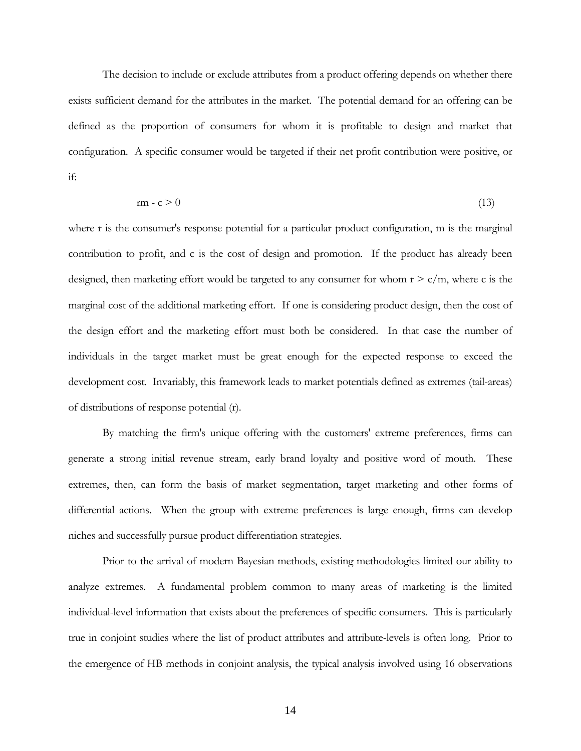The decision to include or exclude attributes from a product offering depends on whether there exists sufficient demand for the attributes in the market. The potential demand for an offering can be defined as the proportion of consumers for whom it is profitable to design and market that configuration. A specific consumer would be targeted if their net profit contribution were positive, or if:

$$
\mathbf{rm} \cdot \mathbf{c} > 0 \tag{13}
$$

where r is the consumer's response potential for a particular product configuration, m is the marginal contribution to profit, and c is the cost of design and promotion. If the product has already been designed, then marketing effort would be targeted to any consumer for whom  $r > c/m$ , where c is the marginal cost of the additional marketing effort. If one is considering product design, then the cost of the design effort and the marketing effort must both be considered. In that case the number of individuals in the target market must be great enough for the expected response to exceed the development cost. Invariably, this framework leads to market potentials defined as extremes (tail-areas) of distributions of response potential (r).

 By matching the firm's unique offering with the customers' extreme preferences, firms can generate a strong initial revenue stream, early brand loyalty and positive word of mouth. These extremes, then, can form the basis of market segmentation, target marketing and other forms of differential actions. When the group with extreme preferences is large enough, firms can develop niches and successfully pursue product differentiation strategies.

 Prior to the arrival of modern Bayesian methods, existing methodologies limited our ability to analyze extremes. A fundamental problem common to many areas of marketing is the limited individual-level information that exists about the preferences of specific consumers. This is particularly true in conjoint studies where the list of product attributes and attribute-levels is often long. Prior to the emergence of HB methods in conjoint analysis, the typical analysis involved using 16 observations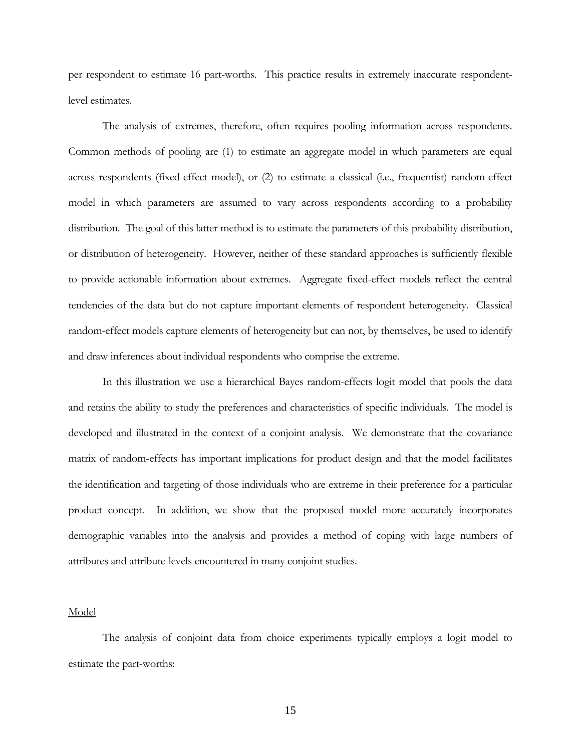per respondent to estimate 16 part-worths. This practice results in extremely inaccurate respondentlevel estimates.

 The analysis of extremes, therefore, often requires pooling information across respondents. Common methods of pooling are (1) to estimate an aggregate model in which parameters are equal across respondents (fixed-effect model), or (2) to estimate a classical (i.e., frequentist) random-effect model in which parameters are assumed to vary across respondents according to a probability distribution. The goal of this latter method is to estimate the parameters of this probability distribution, or distribution of heterogeneity. However, neither of these standard approaches is sufficiently flexible to provide actionable information about extremes. Aggregate fixed-effect models reflect the central tendencies of the data but do not capture important elements of respondent heterogeneity. Classical random-effect models capture elements of heterogeneity but can not, by themselves, be used to identify and draw inferences about individual respondents who comprise the extreme.

 In this illustration we use a hierarchical Bayes random-effects logit model that pools the data and retains the ability to study the preferences and characteristics of specific individuals. The model is developed and illustrated in the context of a conjoint analysis. We demonstrate that the covariance matrix of random-effects has important implications for product design and that the model facilitates the identification and targeting of those individuals who are extreme in their preference for a particular product concept. In addition, we show that the proposed model more accurately incorporates demographic variables into the analysis and provides a method of coping with large numbers of attributes and attribute-levels encountered in many conjoint studies.

## Model

 The analysis of conjoint data from choice experiments typically employs a logit model to estimate the part-worths: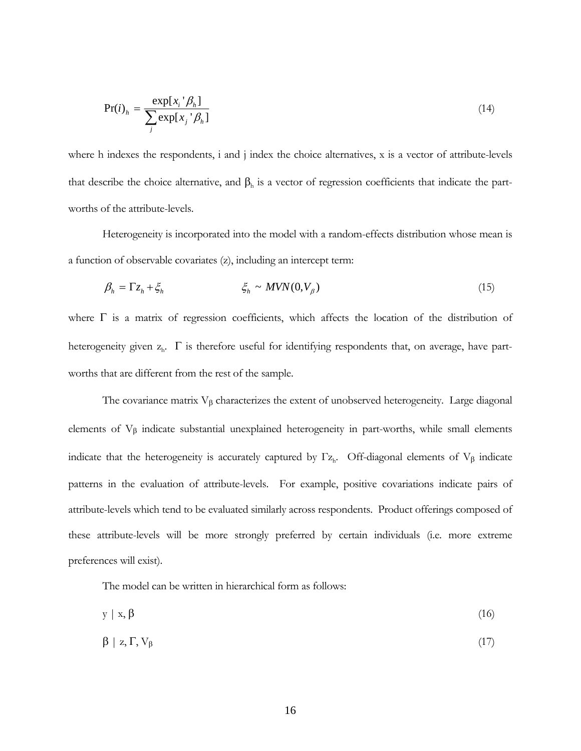$$
Pr(i)_h = \frac{\exp[x_i \, ' \beta_h]}{\sum_j \exp[x_j \, ' \beta_h]}
$$
\n<sup>(14)</sup>

where h indexes the respondents, i and j index the choice alternatives, x is a vector of attribute-levels that describe the choice alternative, and  $\beta_h$  is a vector of regression coefficients that indicate the partworths of the attribute-levels.

 Heterogeneity is incorporated into the model with a random-effects distribution whose mean is a function of observable covariates (z), including an intercept term:

$$
\beta_h = \Gamma z_h + \xi_h \qquad \qquad \xi_h \sim MVN(0, V_\beta) \tag{15}
$$

where Γ is a matrix of regression coefficients, which affects the location of the distribution of heterogeneity given z<sub>h</sub>. Γ is therefore useful for identifying respondents that, on average, have partworths that are different from the rest of the sample.

The covariance matrix  $V_\beta$  characterizes the extent of unobserved heterogeneity. Large diagonal elements of  $V_{\beta}$  indicate substantial unexplained heterogeneity in part-worths, while small elements indicate that the heterogeneity is accurately captured by  $\Gamma z_h$ . Off-diagonal elements of  $V_\beta$  indicate patterns in the evaluation of attribute-levels. For example, positive covariations indicate pairs of attribute-levels which tend to be evaluated similarly across respondents. Product offerings composed of these attribute-levels will be more strongly preferred by certain individuals (i.e. more extreme preferences will exist).

The model can be written in hierarchical form as follows:

$$
y \mid x, \beta \tag{16}
$$

$$
\beta \mid z, \Gamma, V_{\beta} \tag{17}
$$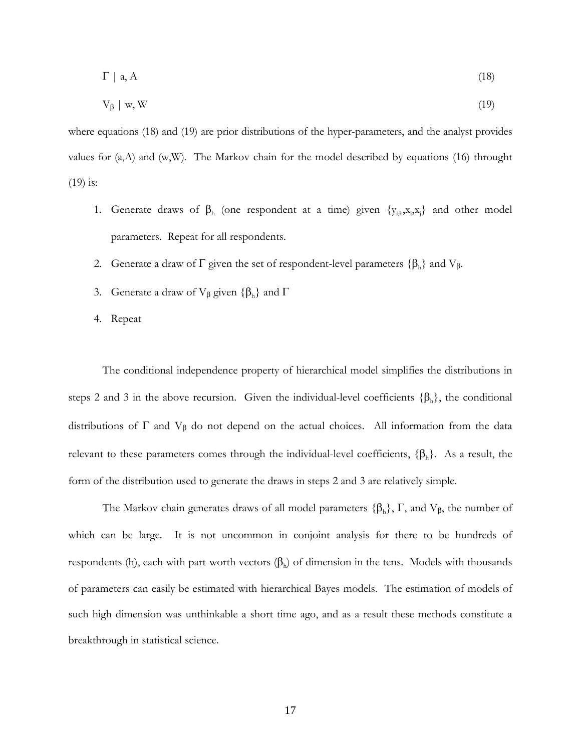$$
\Gamma \mid a, A \tag{18}
$$

$$
V_{\beta} \mid w, W \tag{19}
$$

where equations (18) and (19) are prior distributions of the hyper-parameters, and the analyst provides values for  $(a, A)$  and  $(w, W)$ . The Markov chain for the model described by equations (16) throught (19) is:

- 1. Generate draws of  $\beta_h$  (one respondent at a time) given  $\{y_{i,h}, x_i, x_j\}$  and other model parameters. Repeat for all respondents.
- 2. Generate a draw of Γ given the set of respondent-level parameters  ${β_h}$  and  $V_β$ .
- 3. Generate a draw of  $V_{\beta}$  given  $\{\beta_h\}$  and  $\Gamma$
- 4. Repeat

The conditional independence property of hierarchical model simplifies the distributions in steps 2 and 3 in the above recursion. Given the individual-level coefficients  $\{\beta_h\}$ , the conditional distributions of  $\Gamma$  and  $V_{\beta}$  do not depend on the actual choices. All information from the data relevant to these parameters comes through the individual-level coefficients,  $\{\beta_h\}$ . As a result, the form of the distribution used to generate the draws in steps 2 and 3 are relatively simple.

The Markov chain generates draws of all model parameters  $\{\beta_h\}$ ,  $\Gamma$ , and  $V_\beta$ , the number of which can be large. It is not uncommon in conjoint analysis for there to be hundreds of respondents (h), each with part-worth vectors  $(\beta_h)$  of dimension in the tens. Models with thousands of parameters can easily be estimated with hierarchical Bayes models. The estimation of models of such high dimension was unthinkable a short time ago, and as a result these methods constitute a breakthrough in statistical science.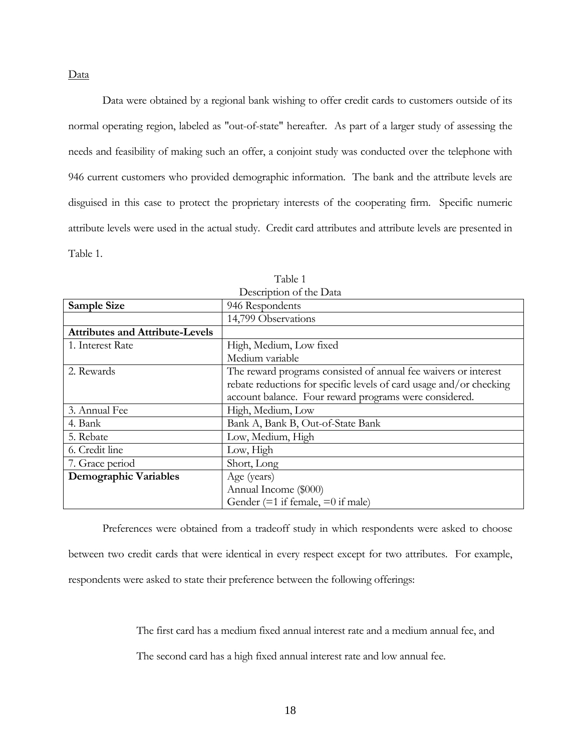Data

 Data were obtained by a regional bank wishing to offer credit cards to customers outside of its normal operating region, labeled as "out-of-state" hereafter. As part of a larger study of assessing the needs and feasibility of making such an offer, a conjoint study was conducted over the telephone with 946 current customers who provided demographic information. The bank and the attribute levels are disguised in this case to protect the proprietary interests of the cooperating firm. Specific numeric attribute levels were used in the actual study. Credit card attributes and attribute levels are presented in Table 1.

| <b>Sample Size</b>                     | 946 Respondents                                                     |
|----------------------------------------|---------------------------------------------------------------------|
|                                        | 14,799 Observations                                                 |
| <b>Attributes and Attribute-Levels</b> |                                                                     |
| 1. Interest Rate                       | High, Medium, Low fixed                                             |
|                                        | Medium variable                                                     |
| 2. Rewards                             | The reward programs consisted of annual fee waivers or interest     |
|                                        | rebate reductions for specific levels of card usage and/or checking |
|                                        | account balance. Four reward programs were considered.              |
| 3. Annual Fee                          | High, Medium, Low                                                   |
| 4. Bank                                | Bank A, Bank B, Out-of-State Bank                                   |
| 5. Rebate                              | Low, Medium, High                                                   |
| 6. Credit line                         | Low, High                                                           |
| 7. Grace period                        | Short, Long                                                         |
| <b>Demographic Variables</b>           | Age (years)                                                         |
|                                        | Annual Income (\$000)                                               |
|                                        | Gender $(=1$ if female, $=0$ if male)                               |

Table 1 Description of the Data

 Preferences were obtained from a tradeoff study in which respondents were asked to choose between two credit cards that were identical in every respect except for two attributes. For example, respondents were asked to state their preference between the following offerings:

The first card has a medium fixed annual interest rate and a medium annual fee, and

The second card has a high fixed annual interest rate and low annual fee.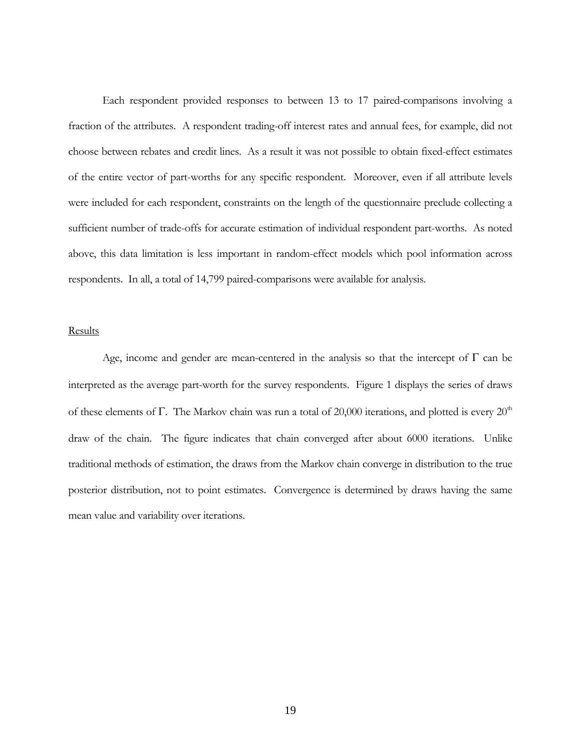Each respondent provided responses to between 13 to 17 paired-comparisons involving a fraction of the attributes. A respondent trading-off interest rates and annual fees, for example, did not choose between rebates and credit lines. As a result it was not possible to obtain fixed-effect estimates of the entire vector of part-worths for any specific respondent. Moreover, even if all attribute levels were included for each respondent, constraints on the length of the questionnaire preclude collecting a sufficient number of trade-offs for accurate estimation of individual respondent part-worths. As noted above, this data limitation is less important in random-effect models which pool information across respondents. In all, a total of 14,799 paired-comparisons were available for analysis.

## Results

Age, income and gender are mean-centered in the analysis so that the intercept of  $\Gamma$  can be interpreted as the average part-worth for the survey respondents. Figure 1 displays the series of draws of these elements of Γ. The Markov chain was run a total of 20,000 iterations, and plotted is every  $20<sup>th</sup>$ draw of the chain. The figure indicates that chain converged after about 6000 iterations. Unlike traditional methods of estimation, the draws from the Markov chain converge in distribution to the true posterior distribution, not to point estimates. Convergence is determined by draws having the same mean value and variability over iterations.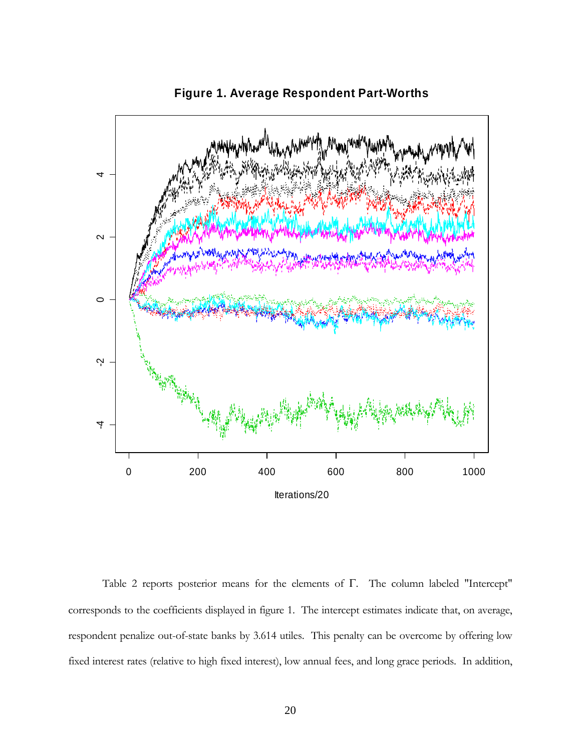

**Figure 1. Average Respondent Part-Worths**

 Table 2 reports posterior means for the elements of Γ. The column labeled "Intercept" corresponds to the coefficients displayed in figure 1. The intercept estimates indicate that, on average, respondent penalize out-of-state banks by 3.614 utiles. This penalty can be overcome by offering low fixed interest rates (relative to high fixed interest), low annual fees, and long grace periods. In addition,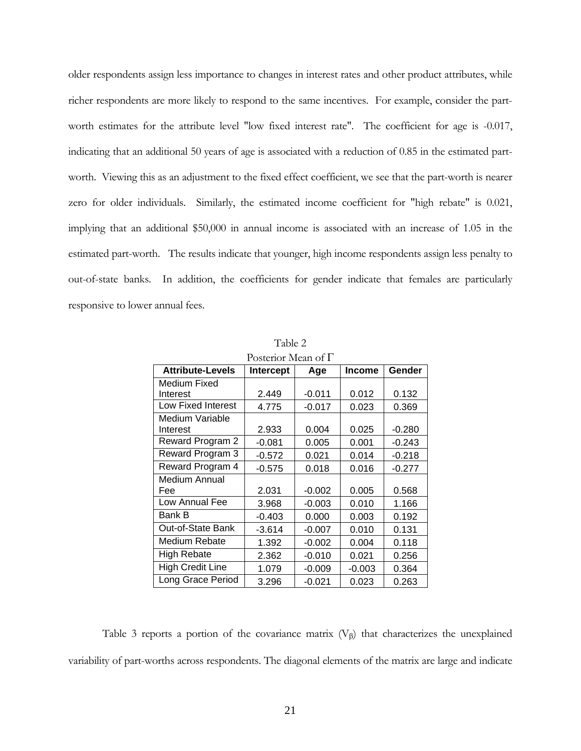older respondents assign less importance to changes in interest rates and other product attributes, while richer respondents are more likely to respond to the same incentives. For example, consider the partworth estimates for the attribute level "low fixed interest rate". The coefficient for age is -0.017, indicating that an additional 50 years of age is associated with a reduction of 0.85 in the estimated partworth. Viewing this as an adjustment to the fixed effect coefficient, we see that the part-worth is nearer zero for older individuals. Similarly, the estimated income coefficient for "high rebate" is 0.021, implying that an additional \$50,000 in annual income is associated with an increase of 1.05 in the estimated part-worth. The results indicate that younger, high income respondents assign less penalty to out-of-state banks. In addition, the coefficients for gender indicate that females are particularly responsive to lower annual fees.

| Posterior Mean of $\Gamma$ |                  |          |               |          |  |  |  |  |  |
|----------------------------|------------------|----------|---------------|----------|--|--|--|--|--|
| <b>Attribute-Levels</b>    | <b>Intercept</b> | Age      | <b>Income</b> | Gender   |  |  |  |  |  |
| Medium Fixed               |                  |          |               |          |  |  |  |  |  |
| Interest                   | 2.449            | $-0.011$ | 0.012         | 0.132    |  |  |  |  |  |
| Low Fixed Interest         | 4.775            | $-0.017$ | 0.023         | 0.369    |  |  |  |  |  |
| Medium Variable            |                  |          |               |          |  |  |  |  |  |
| Interest                   | 2.933            | 0.004    | 0.025         | $-0.280$ |  |  |  |  |  |
| Reward Program 2           | $-0.081$         | 0.005    | 0.001         | $-0.243$ |  |  |  |  |  |
| Reward Program 3           | $-0.572$         | 0.021    | 0.014         | $-0.218$ |  |  |  |  |  |
| Reward Program 4           | $-0.575$         | 0.018    | 0.016         | $-0.277$ |  |  |  |  |  |
| Medium Annual              |                  |          |               |          |  |  |  |  |  |
| Fee                        | 2.031            | $-0.002$ | 0.005         | 0.568    |  |  |  |  |  |
| Low Annual Fee             | 3.968            | $-0.003$ | 0.010         | 1.166    |  |  |  |  |  |
| Bank B                     | $-0.403$         | 0.000    | 0.003         | 0.192    |  |  |  |  |  |
| Out-of-State Bank          | $-3.614$         | $-0.007$ | 0.010         | 0.131    |  |  |  |  |  |
| Medium Rebate              | 1.392            | $-0.002$ | 0.004         | 0.118    |  |  |  |  |  |
| <b>High Rebate</b>         | 2.362            | $-0.010$ | 0.021         | 0.256    |  |  |  |  |  |
| <b>High Credit Line</b>    | 1.079            | $-0.009$ | $-0.003$      | 0.364    |  |  |  |  |  |
| Long Grace Period          | 3.296            | $-0.021$ | 0.023         | 0.263    |  |  |  |  |  |

Table 2

Table 3 reports a portion of the covariance matrix  $(V_\beta)$  that characterizes the unexplained variability of part-worths across respondents. The diagonal elements of the matrix are large and indicate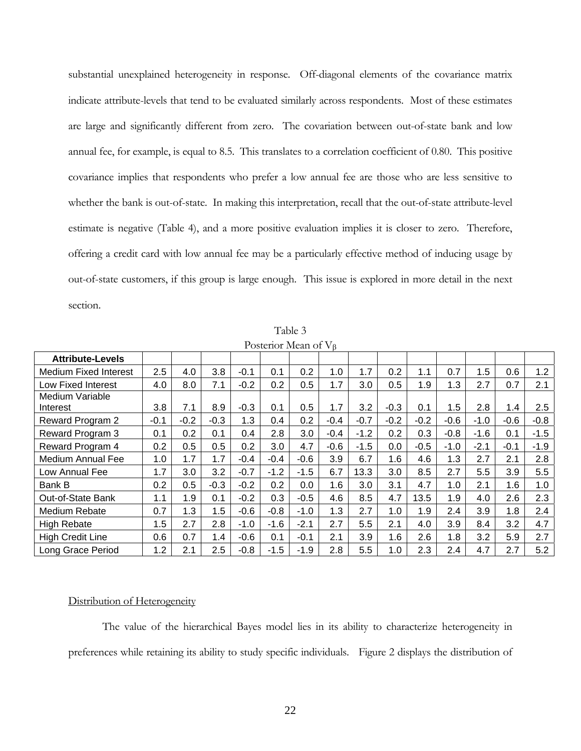substantial unexplained heterogeneity in response. Off-diagonal elements of the covariance matrix indicate attribute-levels that tend to be evaluated similarly across respondents. Most of these estimates are large and significantly different from zero. The covariation between out-of-state bank and low annual fee, for example, is equal to 8.5. This translates to a correlation coefficient of 0.80. This positive covariance implies that respondents who prefer a low annual fee are those who are less sensitive to whether the bank is out-of-state. In making this interpretation, recall that the out-of-state attribute-level estimate is negative (Table 4), and a more positive evaluation implies it is closer to zero. Therefore, offering a credit card with low annual fee may be a particularly effective method of inducing usage by out-of-state customers, if this group is large enough. This issue is explored in more detail in the next section.

|                              | POSTETIOT MEAN OF V <sub>B</sub> |        |        |        |        |        |        |        |        |        |        |        |        |        |
|------------------------------|----------------------------------|--------|--------|--------|--------|--------|--------|--------|--------|--------|--------|--------|--------|--------|
| <b>Attribute-Levels</b>      |                                  |        |        |        |        |        |        |        |        |        |        |        |        |        |
| <b>Medium Fixed Interest</b> | $2.5\,$                          | 4.0    | 3.8    | $-0.1$ | 0.1    | 0.2    | 1.0    | 1.7    | 0.2    | 1.1    | 0.7    | 1.5    | 0.6    | 1.2    |
| Low Fixed Interest           | 4.0                              | 8.0    | 7.1    | $-0.2$ | 0.2    | 0.5    | 1.7    | 3.0    | 0.5    | 1.9    | 1.3    | 2.7    | 0.7    | 2.1    |
| Medium Variable              |                                  |        |        |        |        |        |        |        |        |        |        |        |        |        |
| Interest                     | 3.8                              | 7.1    | 8.9    | $-0.3$ | 0.1    | 0.5    | 1.7    | 3.2    | $-0.3$ | 0.1    | 1.5    | 2.8    | 1.4    | 2.5    |
| Reward Program 2             | $-0.1$                           | $-0.2$ | $-0.3$ | 1.3    | 0.4    | 0.2    | $-0.4$ | $-0.7$ | $-0.2$ | $-0.2$ | $-0.6$ | $-1.0$ | $-0.6$ | $-0.8$ |
| Reward Program 3             | 0.1                              | 0.2    | 0.1    | 0.4    | 2.8    | 3.0    | $-0.4$ | $-1.2$ | 0.2    | 0.3    | $-0.8$ | $-1.6$ | 0.1    | $-1.5$ |
| Reward Program 4             | 0.2                              | 0.5    | 0.5    | 0.2    | 3.0    | 4.7    | $-0.6$ | $-1.5$ | 0.0    | $-0.5$ | $-1.0$ | $-2.1$ | $-0.1$ | $-1.9$ |
| <b>Medium Annual Fee</b>     | 1.0                              | 1.7    | 1.7    | $-0.4$ | $-0.4$ | $-0.6$ | 3.9    | 6.7    | 1.6    | 4.6    | 1.3    | 2.7    | 2.1    | 2.8    |
| Low Annual Fee               | 1.7                              | 3.0    | 3.2    | $-0.7$ | $-1.2$ | $-1.5$ | 6.7    | 13.3   | 3.0    | 8.5    | 2.7    | 5.5    | 3.9    | 5.5    |
| Bank B                       | 0.2                              | 0.5    | $-0.3$ | $-0.2$ | 0.2    | 0.0    | 1.6    | 3.0    | 3.1    | 4.7    | 1.0    | 2.1    | 1.6    | 1.0    |
| Out-of-State Bank            | 1.1                              | 1.9    | 0.1    | $-0.2$ | 0.3    | $-0.5$ | 4.6    | 8.5    | 4.7    | 13.5   | 1.9    | 4.0    | 2.6    | 2.3    |
| Medium Rebate                | 0.7                              | 1.3    | 1.5    | $-0.6$ | $-0.8$ | $-1.0$ | 1.3    | 2.7    | 1.0    | 1.9    | 2.4    | 3.9    | 1.8    | 2.4    |
| <b>High Rebate</b>           | 1.5                              | 2.7    | 2.8    | $-1.0$ | $-1.6$ | $-2.1$ | 2.7    | 5.5    | 2.1    | 4.0    | 3.9    | 8.4    | 3.2    | 4.7    |
| <b>High Credit Line</b>      | 0.6                              | 0.7    | 1.4    | $-0.6$ | 0.1    | $-0.1$ | 2.1    | 3.9    | 1.6    | 2.6    | 1.8    | 3.2    | 5.9    | 2.7    |
| Long Grace Period            | 1.2                              | 2.1    | 2.5    | $-0.8$ | $-1.5$ | $-1.9$ | 2.8    | 5.5    | 1.0    | 2.3    | 2.4    | 4.7    | 2.7    | 5.2    |

Table 3  $P_{\text{reco}}$  is a Mean of V

#### Distribution of Heterogeneity

 The value of the hierarchical Bayes model lies in its ability to characterize heterogeneity in preferences while retaining its ability to study specific individuals. Figure 2 displays the distribution of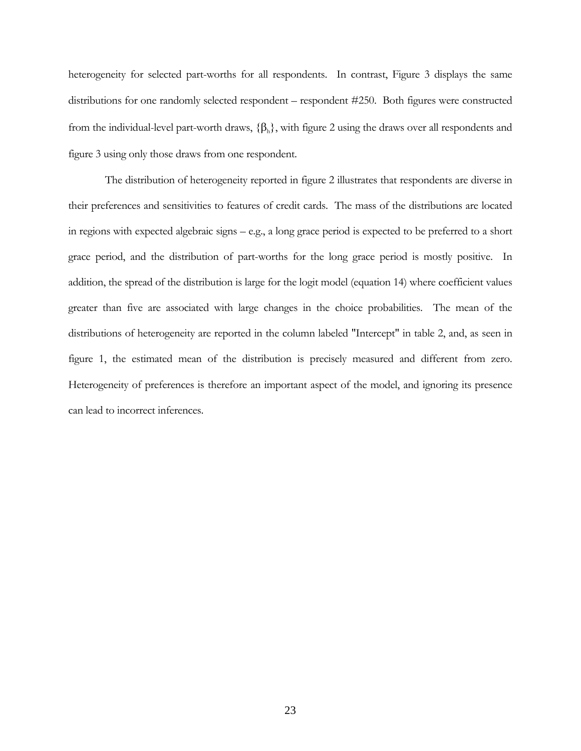heterogeneity for selected part-worths for all respondents. In contrast, Figure 3 displays the same distributions for one randomly selected respondent – respondent #250. Both figures were constructed from the individual-level part-worth draws,  $\{\beta_h\}$ , with figure 2 using the draws over all respondents and figure 3 using only those draws from one respondent.

 The distribution of heterogeneity reported in figure 2 illustrates that respondents are diverse in their preferences and sensitivities to features of credit cards. The mass of the distributions are located in regions with expected algebraic signs – e.g., a long grace period is expected to be preferred to a short grace period, and the distribution of part-worths for the long grace period is mostly positive. In addition, the spread of the distribution is large for the logit model (equation 14) where coefficient values greater than five are associated with large changes in the choice probabilities. The mean of the distributions of heterogeneity are reported in the column labeled "Intercept" in table 2, and, as seen in figure 1, the estimated mean of the distribution is precisely measured and different from zero. Heterogeneity of preferences is therefore an important aspect of the model, and ignoring its presence can lead to incorrect inferences.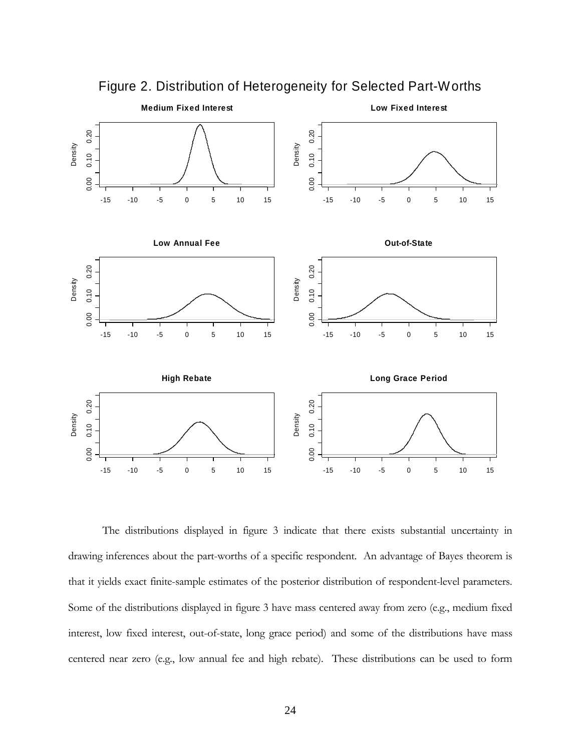

Figure 2. Distribution of Heterogeneity for Selected Part-Worths

 The distributions displayed in figure 3 indicate that there exists substantial uncertainty in drawing inferences about the part-worths of a specific respondent. An advantage of Bayes theorem is that it yields exact finite-sample estimates of the posterior distribution of respondent-level parameters. Some of the distributions displayed in figure 3 have mass centered away from zero (e.g., medium fixed interest, low fixed interest, out-of-state, long grace period) and some of the distributions have mass centered near zero (e.g., low annual fee and high rebate). These distributions can be used to form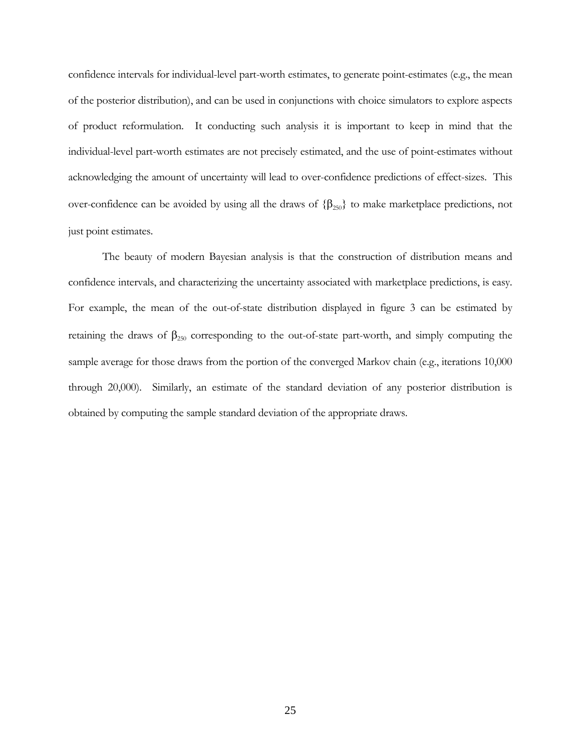confidence intervals for individual-level part-worth estimates, to generate point-estimates (e.g., the mean of the posterior distribution), and can be used in conjunctions with choice simulators to explore aspects of product reformulation. It conducting such analysis it is important to keep in mind that the individual-level part-worth estimates are not precisely estimated, and the use of point-estimates without acknowledging the amount of uncertainty will lead to over-confidence predictions of effect-sizes. This over-confidence can be avoided by using all the draws of  $\{\beta_{250}\}\)$  to make marketplace predictions, not just point estimates.

 The beauty of modern Bayesian analysis is that the construction of distribution means and confidence intervals, and characterizing the uncertainty associated with marketplace predictions, is easy. For example, the mean of the out-of-state distribution displayed in figure 3 can be estimated by retaining the draws of  $\beta_{250}$  corresponding to the out-of-state part-worth, and simply computing the sample average for those draws from the portion of the converged Markov chain (e.g., iterations 10,000 through 20,000). Similarly, an estimate of the standard deviation of any posterior distribution is obtained by computing the sample standard deviation of the appropriate draws.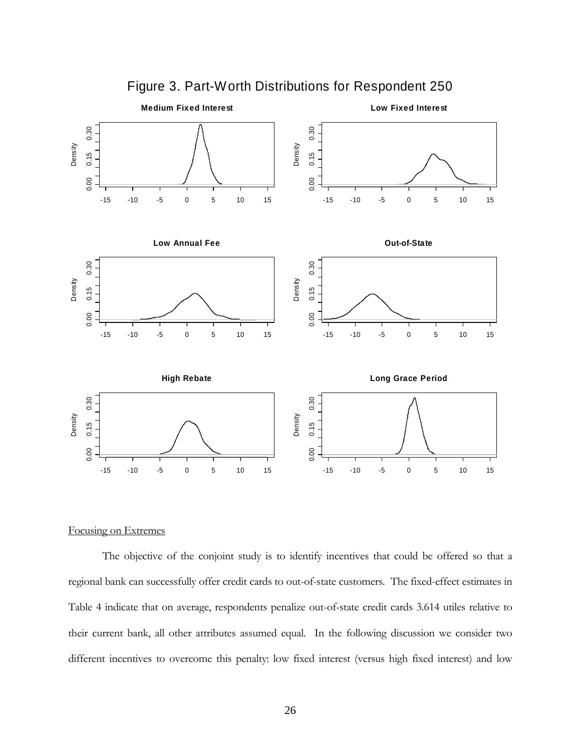

Figure 3. Part-Worth Distributions for Respondent 250

#### Focusing on Extremes

 The objective of the conjoint study is to identify incentives that could be offered so that a regional bank can successfully offer credit cards to out-of-state customers. The fixed-effect estimates in Table 4 indicate that on average, respondents penalize out-of-state credit cards 3.614 utiles relative to their current bank, all other attributes assumed equal. In the following discussion we consider two different incentives to overcome this penalty: low fixed interest (versus high fixed interest) and low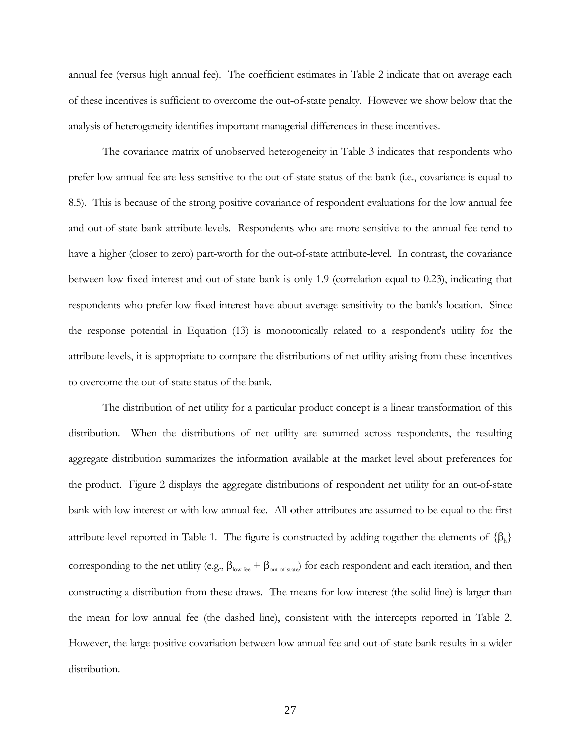annual fee (versus high annual fee). The coefficient estimates in Table 2 indicate that on average each of these incentives is sufficient to overcome the out-of-state penalty. However we show below that the analysis of heterogeneity identifies important managerial differences in these incentives.

 The covariance matrix of unobserved heterogeneity in Table 3 indicates that respondents who prefer low annual fee are less sensitive to the out-of-state status of the bank (i.e., covariance is equal to 8.5). This is because of the strong positive covariance of respondent evaluations for the low annual fee and out-of-state bank attribute-levels. Respondents who are more sensitive to the annual fee tend to have a higher (closer to zero) part-worth for the out-of-state attribute-level. In contrast, the covariance between low fixed interest and out-of-state bank is only 1.9 (correlation equal to 0.23), indicating that respondents who prefer low fixed interest have about average sensitivity to the bank's location. Since the response potential in Equation (13) is monotonically related to a respondent's utility for the attribute-levels, it is appropriate to compare the distributions of net utility arising from these incentives to overcome the out-of-state status of the bank.

 The distribution of net utility for a particular product concept is a linear transformation of this distribution. When the distributions of net utility are summed across respondents, the resulting aggregate distribution summarizes the information available at the market level about preferences for the product. Figure 2 displays the aggregate distributions of respondent net utility for an out-of-state bank with low interest or with low annual fee. All other attributes are assumed to be equal to the first attribute-level reported in Table 1. The figure is constructed by adding together the elements of  $\{\beta_{h}\}\$ corresponding to the net utility (e.g.,  $\beta_{\text{low fee}} + \beta_{\text{out-of-state}}$ ) for each respondent and each iteration, and then constructing a distribution from these draws. The means for low interest (the solid line) is larger than the mean for low annual fee (the dashed line), consistent with the intercepts reported in Table 2. However, the large positive covariation between low annual fee and out-of-state bank results in a wider distribution.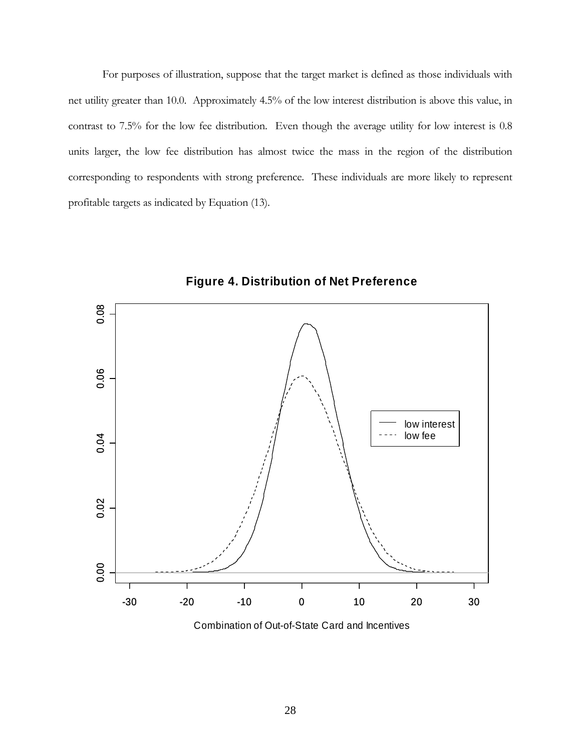For purposes of illustration, suppose that the target market is defined as those individuals with net utility greater than 10.0. Approximately 4.5% of the low interest distribution is above this value, in contrast to 7.5% for the low fee distribution. Even though the average utility for low interest is 0.8 units larger, the low fee distribution has almost twice the mass in the region of the distribution corresponding to respondents with strong preference. These individuals are more likely to represent profitable targets as indicated by Equation (13).



**Figure 4. Distribution of Net Preference**

Combination of Out-of-State Card and Incentives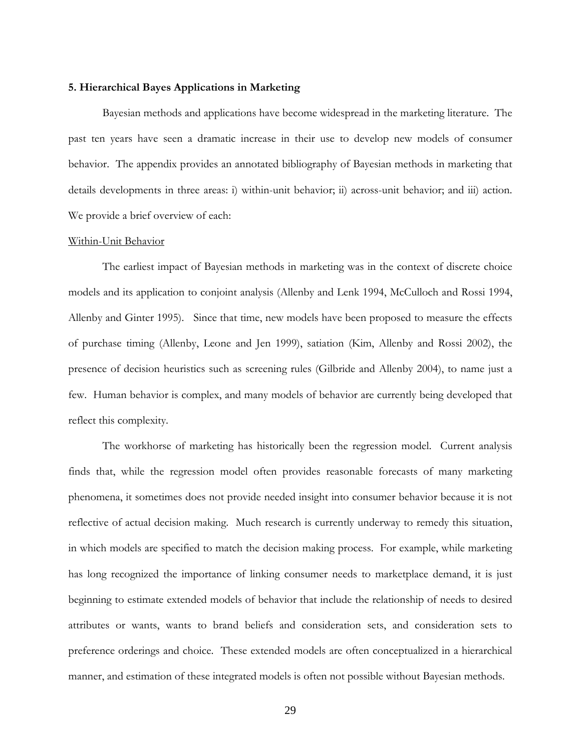## **5. Hierarchical Bayes Applications in Marketing**

 Bayesian methods and applications have become widespread in the marketing literature. The past ten years have seen a dramatic increase in their use to develop new models of consumer behavior. The appendix provides an annotated bibliography of Bayesian methods in marketing that details developments in three areas: i) within-unit behavior; ii) across-unit behavior; and iii) action. We provide a brief overview of each:

## Within-Unit Behavior

 The earliest impact of Bayesian methods in marketing was in the context of discrete choice models and its application to conjoint analysis (Allenby and Lenk 1994, McCulloch and Rossi 1994, Allenby and Ginter 1995). Since that time, new models have been proposed to measure the effects of purchase timing (Allenby, Leone and Jen 1999), satiation (Kim, Allenby and Rossi 2002), the presence of decision heuristics such as screening rules (Gilbride and Allenby 2004), to name just a few. Human behavior is complex, and many models of behavior are currently being developed that reflect this complexity.

 The workhorse of marketing has historically been the regression model. Current analysis finds that, while the regression model often provides reasonable forecasts of many marketing phenomena, it sometimes does not provide needed insight into consumer behavior because it is not reflective of actual decision making. Much research is currently underway to remedy this situation, in which models are specified to match the decision making process. For example, while marketing has long recognized the importance of linking consumer needs to marketplace demand, it is just beginning to estimate extended models of behavior that include the relationship of needs to desired attributes or wants, wants to brand beliefs and consideration sets, and consideration sets to preference orderings and choice. These extended models are often conceptualized in a hierarchical manner, and estimation of these integrated models is often not possible without Bayesian methods.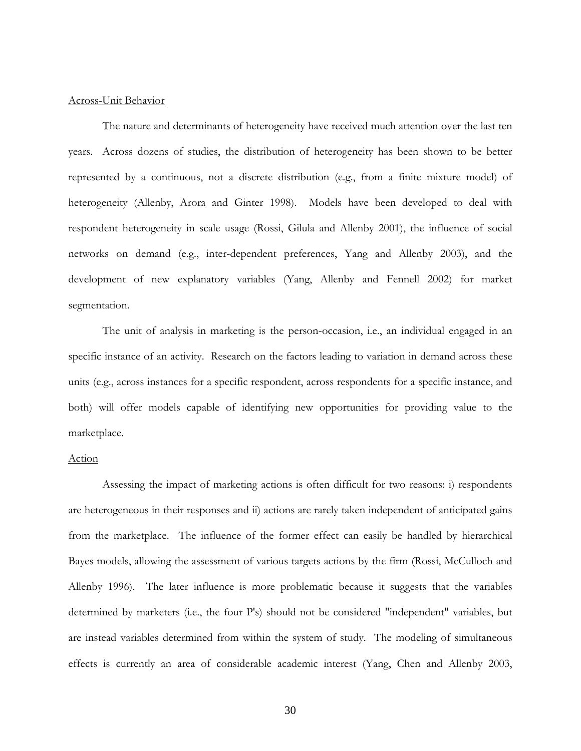#### Across-Unit Behavior

 The nature and determinants of heterogeneity have received much attention over the last ten years. Across dozens of studies, the distribution of heterogeneity has been shown to be better represented by a continuous, not a discrete distribution (e.g., from a finite mixture model) of heterogeneity (Allenby, Arora and Ginter 1998). Models have been developed to deal with respondent heterogeneity in scale usage (Rossi, Gilula and Allenby 2001), the influence of social networks on demand (e.g., inter-dependent preferences, Yang and Allenby 2003), and the development of new explanatory variables (Yang, Allenby and Fennell 2002) for market segmentation.

 The unit of analysis in marketing is the person-occasion, i.e., an individual engaged in an specific instance of an activity. Research on the factors leading to variation in demand across these units (e.g., across instances for a specific respondent, across respondents for a specific instance, and both) will offer models capable of identifying new opportunities for providing value to the marketplace.

## Action

 Assessing the impact of marketing actions is often difficult for two reasons: i) respondents are heterogeneous in their responses and ii) actions are rarely taken independent of anticipated gains from the marketplace. The influence of the former effect can easily be handled by hierarchical Bayes models, allowing the assessment of various targets actions by the firm (Rossi, McCulloch and Allenby 1996). The later influence is more problematic because it suggests that the variables determined by marketers (i.e., the four P's) should not be considered "independent" variables, but are instead variables determined from within the system of study. The modeling of simultaneous effects is currently an area of considerable academic interest (Yang, Chen and Allenby 2003,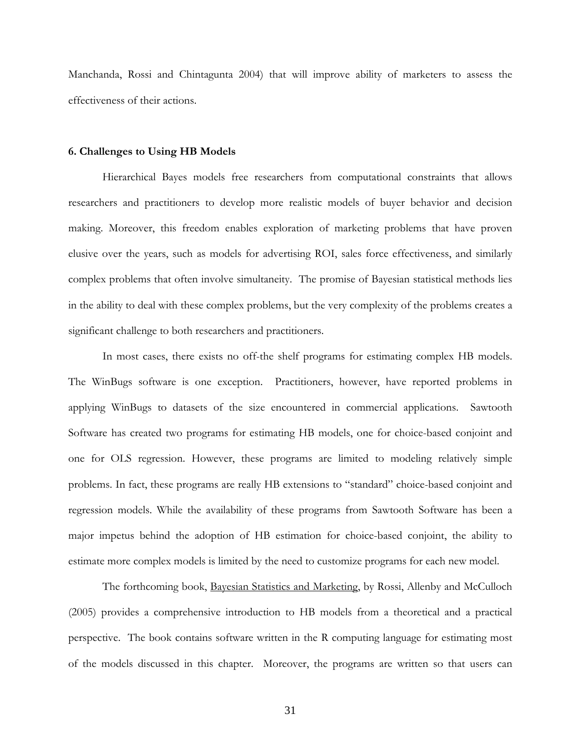Manchanda, Rossi and Chintagunta 2004) that will improve ability of marketers to assess the effectiveness of their actions.

#### **6. Challenges to Using HB Models**

 Hierarchical Bayes models free researchers from computational constraints that allows researchers and practitioners to develop more realistic models of buyer behavior and decision making. Moreover, this freedom enables exploration of marketing problems that have proven elusive over the years, such as models for advertising ROI, sales force effectiveness, and similarly complex problems that often involve simultaneity. The promise of Bayesian statistical methods lies in the ability to deal with these complex problems, but the very complexity of the problems creates a significant challenge to both researchers and practitioners.

 In most cases, there exists no off-the shelf programs for estimating complex HB models. The WinBugs software is one exception. Practitioners, however, have reported problems in applying WinBugs to datasets of the size encountered in commercial applications. Sawtooth Software has created two programs for estimating HB models, one for choice-based conjoint and one for OLS regression. However, these programs are limited to modeling relatively simple problems. In fact, these programs are really HB extensions to "standard" choice-based conjoint and regression models. While the availability of these programs from Sawtooth Software has been a major impetus behind the adoption of HB estimation for choice-based conjoint, the ability to estimate more complex models is limited by the need to customize programs for each new model.

The forthcoming book, Bayesian Statistics and Marketing, by Rossi, Allenby and McCulloch (2005) provides a comprehensive introduction to HB models from a theoretical and a practical perspective. The book contains software written in the R computing language for estimating most of the models discussed in this chapter. Moreover, the programs are written so that users can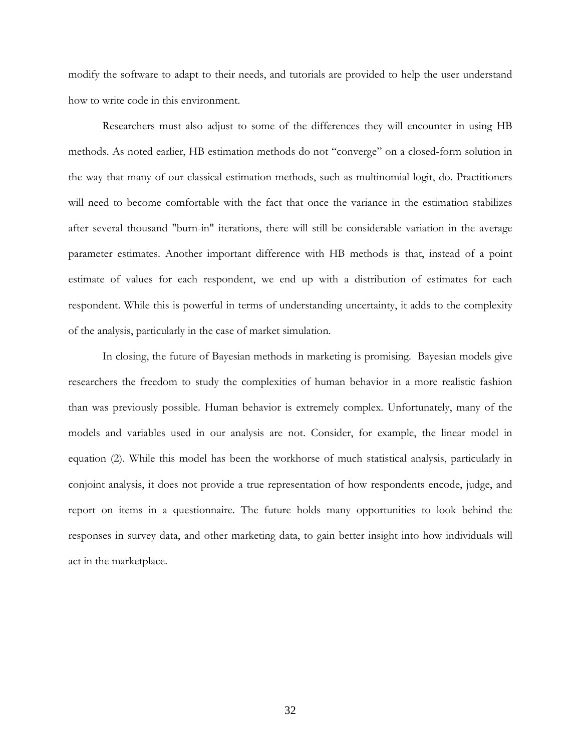modify the software to adapt to their needs, and tutorials are provided to help the user understand how to write code in this environment.

 Researchers must also adjust to some of the differences they will encounter in using HB methods. As noted earlier, HB estimation methods do not "converge" on a closed-form solution in the way that many of our classical estimation methods, such as multinomial logit, do. Practitioners will need to become comfortable with the fact that once the variance in the estimation stabilizes after several thousand "burn-in" iterations, there will still be considerable variation in the average parameter estimates. Another important difference with HB methods is that, instead of a point estimate of values for each respondent, we end up with a distribution of estimates for each respondent. While this is powerful in terms of understanding uncertainty, it adds to the complexity of the analysis, particularly in the case of market simulation.

 In closing, the future of Bayesian methods in marketing is promising. Bayesian models give researchers the freedom to study the complexities of human behavior in a more realistic fashion than was previously possible. Human behavior is extremely complex. Unfortunately, many of the models and variables used in our analysis are not. Consider, for example, the linear model in equation (2). While this model has been the workhorse of much statistical analysis, particularly in conjoint analysis, it does not provide a true representation of how respondents encode, judge, and report on items in a questionnaire. The future holds many opportunities to look behind the responses in survey data, and other marketing data, to gain better insight into how individuals will act in the marketplace.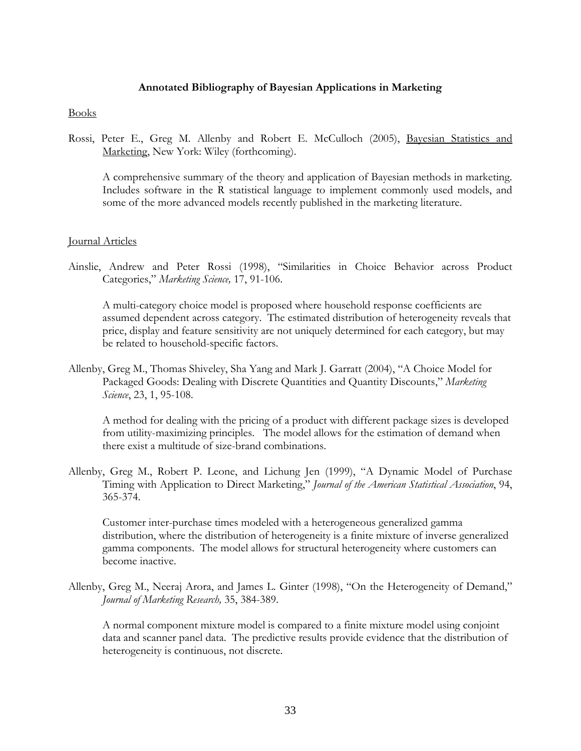## **Annotated Bibliography of Bayesian Applications in Marketing**

## Books

Rossi, Peter E., Greg M. Allenby and Robert E. McCulloch (2005), Bayesian Statistics and Marketing, New York: Wiley (forthcoming).

A comprehensive summary of the theory and application of Bayesian methods in marketing. Includes software in the R statistical language to implement commonly used models, and some of the more advanced models recently published in the marketing literature.

## Journal Articles

Ainslie, Andrew and Peter Rossi (1998), "Similarities in Choice Behavior across Product Categories," *Marketing Science,* 17, 91-106.

A multi-category choice model is proposed where household response coefficients are assumed dependent across category. The estimated distribution of heterogeneity reveals that price, display and feature sensitivity are not uniquely determined for each category, but may be related to household-specific factors.

Allenby, Greg M., Thomas Shiveley, Sha Yang and Mark J. Garratt (2004), "A Choice Model for Packaged Goods: Dealing with Discrete Quantities and Quantity Discounts," *Marketing Science*, 23, 1, 95-108.

A method for dealing with the pricing of a product with different package sizes is developed from utility-maximizing principles. The model allows for the estimation of demand when there exist a multitude of size-brand combinations.

Allenby, Greg M., Robert P. Leone, and Lichung Jen (1999), "A Dynamic Model of Purchase Timing with Application to Direct Marketing," *Journal of the American Statistical Association*, 94, 365-374.

Customer inter-purchase times modeled with a heterogeneous generalized gamma distribution, where the distribution of heterogeneity is a finite mixture of inverse generalized gamma components. The model allows for structural heterogeneity where customers can become inactive.

Allenby, Greg M., Neeraj Arora, and James L. Ginter (1998), "On the Heterogeneity of Demand," *Journal of Marketing Research,* 35, 384-389.

A normal component mixture model is compared to a finite mixture model using conjoint data and scanner panel data. The predictive results provide evidence that the distribution of heterogeneity is continuous, not discrete.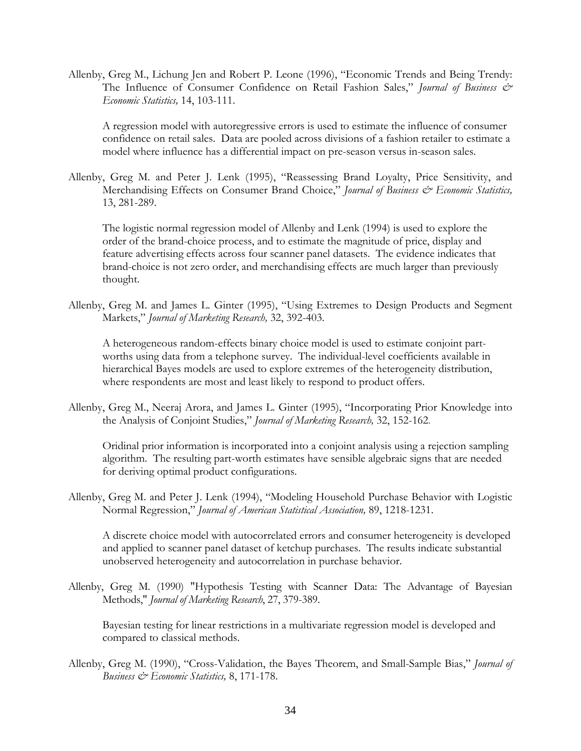Allenby, Greg M., Lichung Jen and Robert P. Leone (1996), "Economic Trends and Being Trendy: The Influence of Consumer Confidence on Retail Fashion Sales," *Journal of Business & Economic Statistics,* 14, 103-111.

A regression model with autoregressive errors is used to estimate the influence of consumer confidence on retail sales. Data are pooled across divisions of a fashion retailer to estimate a model where influence has a differential impact on pre-season versus in-season sales.

Allenby, Greg M. and Peter J. Lenk (1995), "Reassessing Brand Loyalty, Price Sensitivity, and Merchandising Effects on Consumer Brand Choice," Journal of Business & Economic Statistics, 13, 281-289.

The logistic normal regression model of Allenby and Lenk (1994) is used to explore the order of the brand-choice process, and to estimate the magnitude of price, display and feature advertising effects across four scanner panel datasets. The evidence indicates that brand-choice is not zero order, and merchandising effects are much larger than previously thought.

Allenby, Greg M. and James L. Ginter (1995), "Using Extremes to Design Products and Segment Markets," *Journal of Marketing Research,* 32, 392-403.

A heterogeneous random-effects binary choice model is used to estimate conjoint partworths using data from a telephone survey. The individual-level coefficients available in hierarchical Bayes models are used to explore extremes of the heterogeneity distribution, where respondents are most and least likely to respond to product offers.

Allenby, Greg M., Neeraj Arora, and James L. Ginter (1995), "Incorporating Prior Knowledge into the Analysis of Conjoint Studies," *Journal of Marketing Research,* 32, 152-162.

Oridinal prior information is incorporated into a conjoint analysis using a rejection sampling algorithm. The resulting part-worth estimates have sensible algebraic signs that are needed for deriving optimal product configurations.

Allenby, Greg M. and Peter J. Lenk (1994), "Modeling Household Purchase Behavior with Logistic Normal Regression," *Journal of American Statistical Association,* 89, 1218-1231.

A discrete choice model with autocorrelated errors and consumer heterogeneity is developed and applied to scanner panel dataset of ketchup purchases. The results indicate substantial unobserved heterogeneity and autocorrelation in purchase behavior.

Allenby, Greg M. (1990) "Hypothesis Testing with Scanner Data: The Advantage of Bayesian Methods," *Journal of Marketing Research*, 27, 379-389.

Bayesian testing for linear restrictions in a multivariate regression model is developed and compared to classical methods.

Allenby, Greg M. (1990), "Cross-Validation, the Bayes Theorem, and Small-Sample Bias," *Journal of Business & Economic Statistics,* 8, 171-178.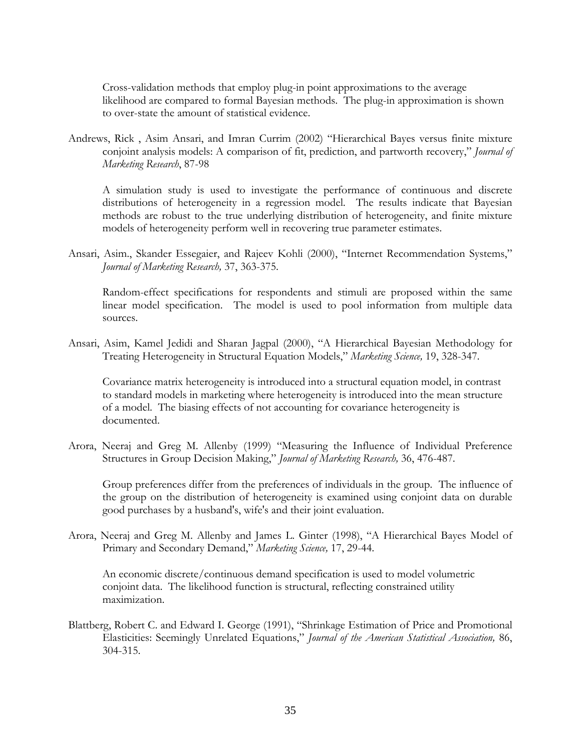Cross-validation methods that employ plug-in point approximations to the average likelihood are compared to formal Bayesian methods. The plug-in approximation is shown to over-state the amount of statistical evidence.

Andrews, Rick , Asim Ansari, and Imran Currim (2002) "Hierarchical Bayes versus finite mixture conjoint analysis models: A comparison of fit, prediction, and partworth recovery," *Journal of Marketing Research*, 87-98

A simulation study is used to investigate the performance of continuous and discrete distributions of heterogeneity in a regression model. The results indicate that Bayesian methods are robust to the true underlying distribution of heterogeneity, and finite mixture models of heterogeneity perform well in recovering true parameter estimates.

Ansari, Asim., Skander Essegaier, and Rajeev Kohli (2000), "Internet Recommendation Systems," *Journal of Marketing Research,* 37, 363-375.

Random-effect specifications for respondents and stimuli are proposed within the same linear model specification. The model is used to pool information from multiple data sources.

Ansari, Asim, Kamel Jedidi and Sharan Jagpal (2000), "A Hierarchical Bayesian Methodology for Treating Heterogeneity in Structural Equation Models," *Marketing Science,* 19, 328-347.

Covariance matrix heterogeneity is introduced into a structural equation model, in contrast to standard models in marketing where heterogeneity is introduced into the mean structure of a model. The biasing effects of not accounting for covariance heterogeneity is documented.

Arora, Neeraj and Greg M. Allenby (1999) "Measuring the Influence of Individual Preference Structures in Group Decision Making," *Journal of Marketing Research,* 36, 476-487.

Group preferences differ from the preferences of individuals in the group. The influence of the group on the distribution of heterogeneity is examined using conjoint data on durable good purchases by a husband's, wife's and their joint evaluation.

Arora, Neeraj and Greg M. Allenby and James L. Ginter (1998), "A Hierarchical Bayes Model of Primary and Secondary Demand," *Marketing Science,* 17, 29-44.

An economic discrete/continuous demand specification is used to model volumetric conjoint data. The likelihood function is structural, reflecting constrained utility maximization.

Blattberg, Robert C. and Edward I. George (1991), "Shrinkage Estimation of Price and Promotional Elasticities: Seemingly Unrelated Equations," *Journal of the American Statistical Association,* 86, 304-315.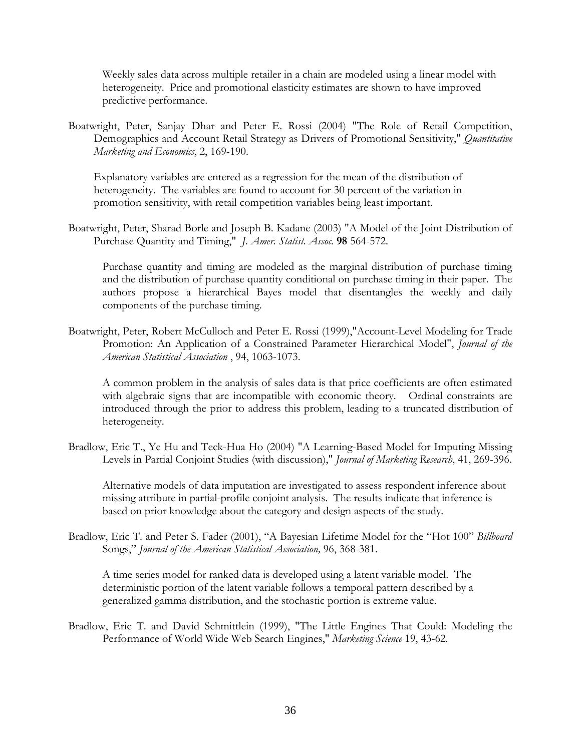Weekly sales data across multiple retailer in a chain are modeled using a linear model with heterogeneity. Price and promotional elasticity estimates are shown to have improved predictive performance.

Boatwright, Peter, Sanjay Dhar and Peter E. Rossi (2004) "The Role of Retail Competition, Demographics and Account Retail Strategy as Drivers of Promotional Sensitivity," *Quantitative Marketing and Economics*, 2, 169-190.

Explanatory variables are entered as a regression for the mean of the distribution of heterogeneity. The variables are found to account for 30 percent of the variation in promotion sensitivity, with retail competition variables being least important.

Boatwright, Peter, Sharad Borle and Joseph B. Kadane (2003) "A Model of the Joint Distribution of Purchase Quantity and Timing," *J. Amer. Statist. Assoc.* **98** 564-572.

Purchase quantity and timing are modeled as the marginal distribution of purchase timing and the distribution of purchase quantity conditional on purchase timing in their paper. The authors propose a hierarchical Bayes model that disentangles the weekly and daily components of the purchase timing.

Boatwright, Peter, Robert McCulloch and Peter E. Rossi (1999),"Account-Level Modeling for Trade Promotion: An Application of a Constrained Parameter Hierarchical Model", *Journal of the American Statistical Association* , 94, 1063-1073.

A common problem in the analysis of sales data is that price coefficients are often estimated with algebraic signs that are incompatible with economic theory. Ordinal constraints are introduced through the prior to address this problem, leading to a truncated distribution of heterogeneity.

Bradlow, Eric T., Ye Hu and Teck-Hua Ho (2004) "A Learning-Based Model for Imputing Missing Levels in Partial Conjoint Studies (with discussion)," *Journal of Marketing Research*, 41, 269-396.

Alternative models of data imputation are investigated to assess respondent inference about missing attribute in partial-profile conjoint analysis. The results indicate that inference is based on prior knowledge about the category and design aspects of the study.

Bradlow, Eric T. and Peter S. Fader (2001), "A Bayesian Lifetime Model for the "Hot 100" *Billboard* Songs," *Journal of the American Statistical Association,* 96, 368-381.

A time series model for ranked data is developed using a latent variable model. The deterministic portion of the latent variable follows a temporal pattern described by a generalized gamma distribution, and the stochastic portion is extreme value.

Bradlow, Eric T. and David Schmittlein (1999), "The Little Engines That Could: Modeling the Performance of World Wide Web Search Engines," *Marketing Science* 19, 43-62*.*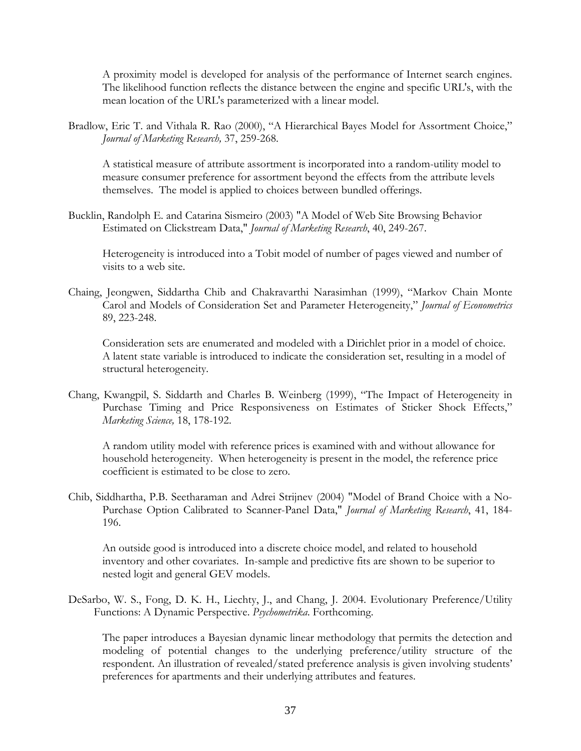A proximity model is developed for analysis of the performance of Internet search engines. The likelihood function reflects the distance between the engine and specific URL's, with the mean location of the URL's parameterized with a linear model.

Bradlow, Eric T. and Vithala R. Rao (2000), "A Hierarchical Bayes Model for Assortment Choice," *Journal of Marketing Research,* 37, 259-268.

A statistical measure of attribute assortment is incorporated into a random-utility model to measure consumer preference for assortment beyond the effects from the attribute levels themselves. The model is applied to choices between bundled offerings.

Bucklin, Randolph E. and Catarina Sismeiro (2003) "A Model of Web Site Browsing Behavior Estimated on Clickstream Data," *Journal of Marketing Research*, 40, 249-267.

Heterogeneity is introduced into a Tobit model of number of pages viewed and number of visits to a web site.

Chaing, Jeongwen, Siddartha Chib and Chakravarthi Narasimhan (1999), "Markov Chain Monte Carol and Models of Consideration Set and Parameter Heterogeneity," *Journal of Econometrics* 89, 223-248.

Consideration sets are enumerated and modeled with a Dirichlet prior in a model of choice. A latent state variable is introduced to indicate the consideration set, resulting in a model of structural heterogeneity.

Chang, Kwangpil, S. Siddarth and Charles B. Weinberg (1999), "The Impact of Heterogeneity in Purchase Timing and Price Responsiveness on Estimates of Sticker Shock Effects," *Marketing Science,* 18, 178-192.

A random utility model with reference prices is examined with and without allowance for household heterogeneity. When heterogeneity is present in the model, the reference price coefficient is estimated to be close to zero.

Chib, Siddhartha, P.B. Seetharaman and Adrei Strijnev (2004) "Model of Brand Choice with a No-Purchase Option Calibrated to Scanner-Panel Data," *Journal of Marketing Research*, 41, 184- 196.

An outside good is introduced into a discrete choice model, and related to household inventory and other covariates. In-sample and predictive fits are shown to be superior to nested logit and general GEV models.

DeSarbo, W. S., Fong, D. K. H., Liechty, J., and Chang, J. 2004. Evolutionary Preference/Utility Functions: A Dynamic Perspective. *Psychometrika*. Forthcoming.

The paper introduces a Bayesian dynamic linear methodology that permits the detection and modeling of potential changes to the underlying preference/utility structure of the respondent. An illustration of revealed/stated preference analysis is given involving students' preferences for apartments and their underlying attributes and features.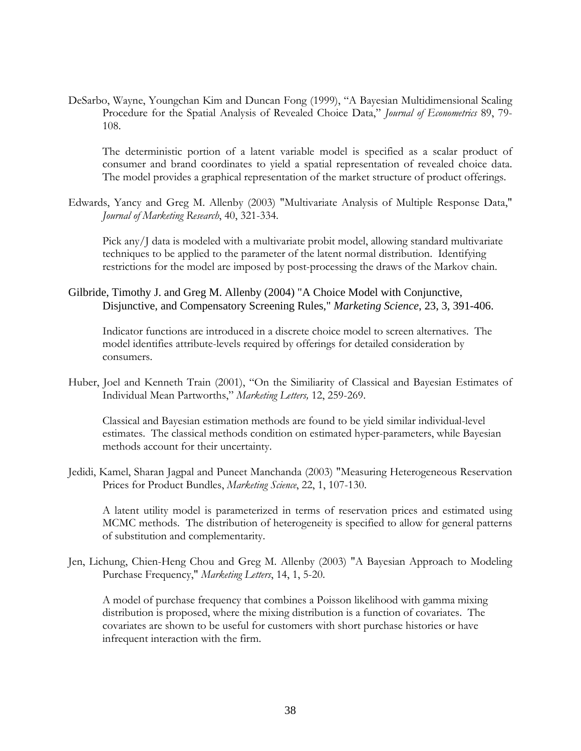DeSarbo, Wayne, Youngchan Kim and Duncan Fong (1999), "A Bayesian Multidimensional Scaling Procedure for the Spatial Analysis of Revealed Choice Data," *Journal of Econometrics* 89, 79- 108.

The deterministic portion of a latent variable model is specified as a scalar product of consumer and brand coordinates to yield a spatial representation of revealed choice data. The model provides a graphical representation of the market structure of product offerings.

Edwards, Yancy and Greg M. Allenby (2003) "Multivariate Analysis of Multiple Response Data," *Journal of Marketing Research*, 40, 321-334.

Pick any/J data is modeled with a multivariate probit model, allowing standard multivariate techniques to be applied to the parameter of the latent normal distribution. Identifying restrictions for the model are imposed by post-processing the draws of the Markov chain.

Gilbride, Timothy J. and Greg M. Allenby (2004) "A Choice Model with Conjunctive, Disjunctive, and Compensatory Screening Rules," *Marketing Science*, 23, 3, 391-406.

Indicator functions are introduced in a discrete choice model to screen alternatives. The model identifies attribute-levels required by offerings for detailed consideration by consumers.

Huber, Joel and Kenneth Train (2001), "On the Similiarity of Classical and Bayesian Estimates of Individual Mean Partworths," *Marketing Letters,* 12, 259-269.

Classical and Bayesian estimation methods are found to be yield similar individual-level estimates. The classical methods condition on estimated hyper-parameters, while Bayesian methods account for their uncertainty.

Jedidi, Kamel, Sharan Jagpal and Puneet Manchanda (2003) "Measuring Heterogeneous Reservation Prices for Product Bundles, *Marketing Science*, 22, 1, 107-130.

A latent utility model is parameterized in terms of reservation prices and estimated using MCMC methods. The distribution of heterogeneity is specified to allow for general patterns of substitution and complementarity.

Jen, Lichung, Chien-Heng Chou and Greg M. Allenby (2003) "A Bayesian Approach to Modeling Purchase Frequency," *Marketing Letters*, 14, 1, 5-20.

A model of purchase frequency that combines a Poisson likelihood with gamma mixing distribution is proposed, where the mixing distribution is a function of covariates. The covariates are shown to be useful for customers with short purchase histories or have infrequent interaction with the firm.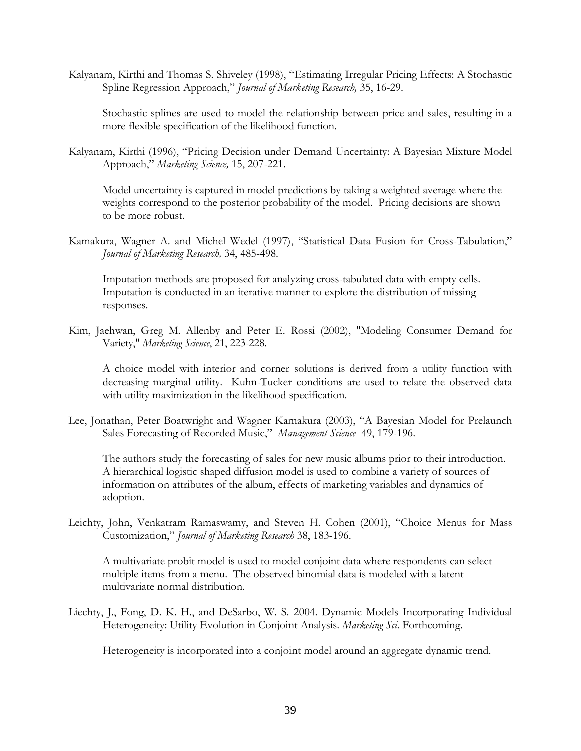Kalyanam, Kirthi and Thomas S. Shiveley (1998), "Estimating Irregular Pricing Effects: A Stochastic Spline Regression Approach," *Journal of Marketing Research,* 35, 16-29.

 Stochastic splines are used to model the relationship between price and sales, resulting in a more flexible specification of the likelihood function.

Kalyanam, Kirthi (1996), "Pricing Decision under Demand Uncertainty: A Bayesian Mixture Model Approach," *Marketing Science,* 15, 207-221.

Model uncertainty is captured in model predictions by taking a weighted average where the weights correspond to the posterior probability of the model. Pricing decisions are shown to be more robust.

Kamakura, Wagner A. and Michel Wedel (1997), "Statistical Data Fusion for Cross-Tabulation," *Journal of Marketing Research,* 34, 485-498.

Imputation methods are proposed for analyzing cross-tabulated data with empty cells. Imputation is conducted in an iterative manner to explore the distribution of missing responses.

Kim, Jaehwan, Greg M. Allenby and Peter E. Rossi (2002), "Modeling Consumer Demand for Variety," *Marketing Science*, 21, 223-228.

 A choice model with interior and corner solutions is derived from a utility function with decreasing marginal utility. Kuhn-Tucker conditions are used to relate the observed data with utility maximization in the likelihood specification.

Lee, Jonathan, Peter Boatwright and Wagner Kamakura (2003), "A Bayesian Model for Prelaunch Sales Forecasting of Recorded Music," *Management Science* 49, 179-196.

The authors study the forecasting of sales for new music albums prior to their introduction. A hierarchical logistic shaped diffusion model is used to combine a variety of sources of information on attributes of the album, effects of marketing variables and dynamics of adoption.

Leichty, John, Venkatram Ramaswamy, and Steven H. Cohen (2001), "Choice Menus for Mass Customization," *Journal of Marketing Research* 38, 183-196.

A multivariate probit model is used to model conjoint data where respondents can select multiple items from a menu. The observed binomial data is modeled with a latent multivariate normal distribution.

Liechty, J., Fong, D. K. H., and DeSarbo, W. S. 2004. Dynamic Models Incorporating Individual Heterogeneity: Utility Evolution in Conjoint Analysis. *Marketing Sci*. Forthcoming.

Heterogeneity is incorporated into a conjoint model around an aggregate dynamic trend.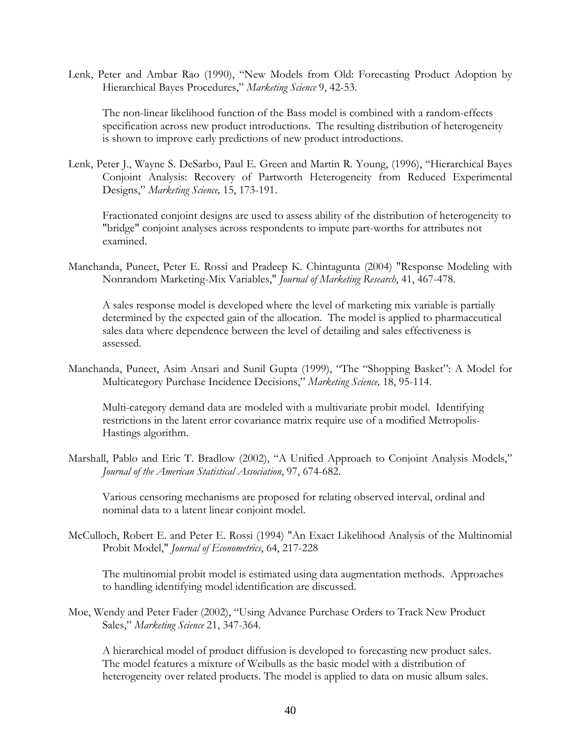Lenk, Peter and Ambar Rao (1990), "New Models from Old: Forecasting Product Adoption by Hierarchical Bayes Procedures," *Marketing Science* 9, 42-53.

The non-linear likelihood function of the Bass model is combined with a random-effects specification across new product introductions. The resulting distribution of heterogeneity is shown to improve early predictions of new product introductions.

Lenk, Peter J., Wayne S. DeSarbo, Paul E. Green and Martin R. Young, (1996), "Hierarchical Bayes Conjoint Analysis: Recovery of Partworth Heterogeneity from Reduced Experimental Designs," *Marketing Science,* 15, 173-191.

Fractionated conjoint designs are used to assess ability of the distribution of heterogeneity to "bridge" conjoint analyses across respondents to impute part-worths for attributes not examined.

Manchanda, Puneet, Peter E. Rossi and Pradeep K. Chintagunta (2004) "Response Modeling with Nonrandom Marketing-Mix Variables," *Journal of Marketing Research*, 41, 467-478.

A sales response model is developed where the level of marketing mix variable is partially determined by the expected gain of the allocation. The model is applied to pharmaceutical sales data where dependence between the level of detailing and sales effectiveness is assessed.

Manchanda, Puneet, Asim Ansari and Sunil Gupta (1999), "The "Shopping Basket": A Model for Multicategory Purchase Incidence Decisions," *Marketing Science,* 18, 95-114.

Multi-category demand data are modeled with a multivariate probit model. Identifying restrictions in the latent error covariance matrix require use of a modified Metropolis-Hastings algorithm.

Marshall, Pablo and Eric T. Bradlow (2002), "A Unified Approach to Conjoint Analysis Models," *Journal of the American Statistical Association*, 97, 674-682.

Various censoring mechanisms are proposed for relating observed interval, ordinal and nominal data to a latent linear conjoint model.

McCulloch, Robert E. and Peter E. Rossi (1994) "An Exact Likelihood Analysis of the Multinomial Probit Model," *Journal of Econometrics*, 64, 217-228

The multinomial probit model is estimated using data augmentation methods. Approaches to handling identifying model identification are discussed.

Moe, Wendy and Peter Fader (2002), "Using Advance Purchase Orders to Track New Product Sales," *Marketing Science* 21, 347-364.

A hierarchical model of product diffusion is developed to forecasting new product sales. The model features a mixture of Weibulls as the basic model with a distribution of heterogeneity over related products. The model is applied to data on music album sales.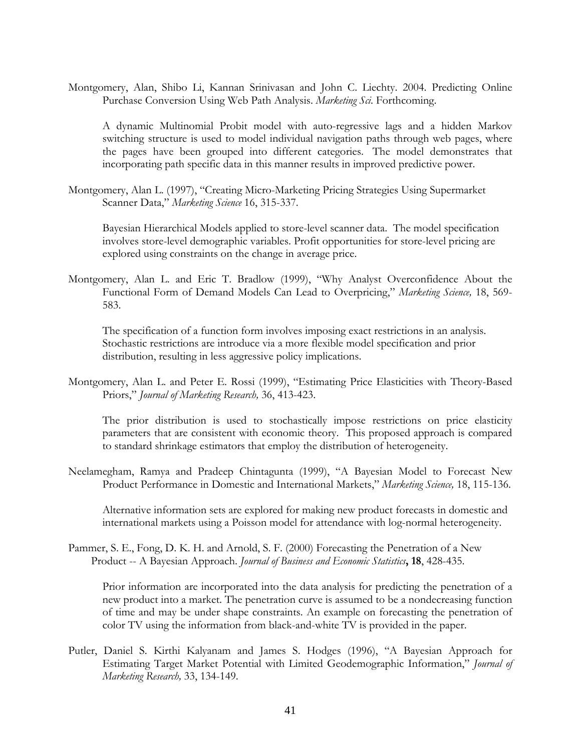Montgomery, Alan, Shibo Li, Kannan Srinivasan and John C. Liechty. 2004. Predicting Online Purchase Conversion Using Web Path Analysis. *Marketing Sci*. Forthcoming.

A dynamic Multinomial Probit model with auto-regressive lags and a hidden Markov switching structure is used to model individual navigation paths through web pages, where the pages have been grouped into different categories. The model demonstrates that incorporating path specific data in this manner results in improved predictive power.

Montgomery, Alan L. (1997), "Creating Micro-Marketing Pricing Strategies Using Supermarket Scanner Data," *Marketing Science* 16, 315-337.

Bayesian Hierarchical Models applied to store-level scanner data. The model specification involves store-level demographic variables. Profit opportunities for store-level pricing are explored using constraints on the change in average price.

Montgomery, Alan L. and Eric T. Bradlow (1999), "Why Analyst Overconfidence About the Functional Form of Demand Models Can Lead to Overpricing," *Marketing Science,* 18, 569- 583.

The specification of a function form involves imposing exact restrictions in an analysis. Stochastic restrictions are introduce via a more flexible model specification and prior distribution, resulting in less aggressive policy implications.

Montgomery, Alan L. and Peter E. Rossi (1999), "Estimating Price Elasticities with Theory-Based Priors," *Journal of Marketing Research,* 36, 413-423.

The prior distribution is used to stochastically impose restrictions on price elasticity parameters that are consistent with economic theory. This proposed approach is compared to standard shrinkage estimators that employ the distribution of heterogeneity.

Neelamegham, Ramya and Pradeep Chintagunta (1999), "A Bayesian Model to Forecast New Product Performance in Domestic and International Markets," *Marketing Science,* 18, 115-136.

Alternative information sets are explored for making new product forecasts in domestic and international markets using a Poisson model for attendance with log-normal heterogeneity.

Pammer, S. E., Fong, D. K. H. and Arnold, S. F. (2000) Forecasting the Penetration of a New Product -- A Bayesian Approach. *Journal of Business and Economic Statistics***, 18**, 428-435.

Prior information are incorporated into the data analysis for predicting the penetration of a new product into a market. The penetration curve is assumed to be a nondecreasing function of time and may be under shape constraints. An example on forecasting the penetration of color TV using the information from black-and-white TV is provided in the paper.

Putler, Daniel S. Kirthi Kalyanam and James S. Hodges (1996), "A Bayesian Approach for Estimating Target Market Potential with Limited Geodemographic Information," *Journal of Marketing Research,* 33, 134-149.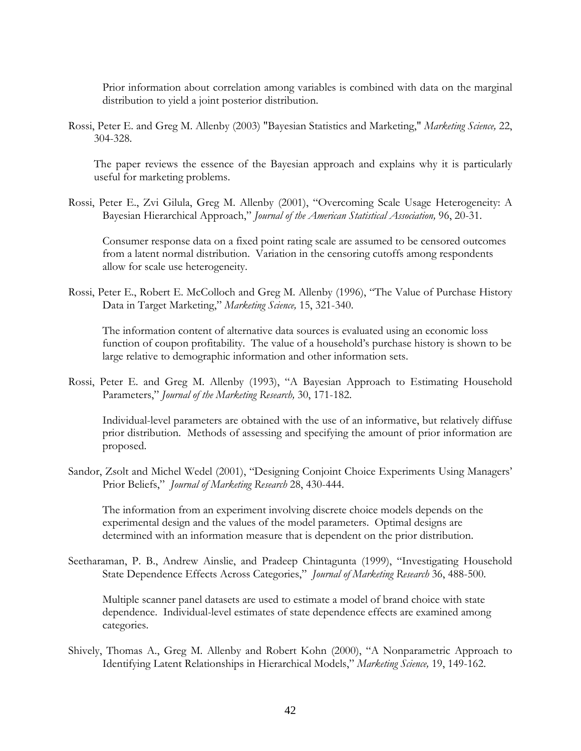Prior information about correlation among variables is combined with data on the marginal distribution to yield a joint posterior distribution.

Rossi, Peter E. and Greg M. Allenby (2003) "Bayesian Statistics and Marketing," *Marketing Science,* 22, 304-328.

 The paper reviews the essence of the Bayesian approach and explains why it is particularly useful for marketing problems.

Rossi, Peter E., Zvi Gilula, Greg M. Allenby (2001), "Overcoming Scale Usage Heterogeneity: A Bayesian Hierarchical Approach," *Journal of the American Statistical Association,* 96, 20-31.

Consumer response data on a fixed point rating scale are assumed to be censored outcomes from a latent normal distribution. Variation in the censoring cutoffs among respondents allow for scale use heterogeneity.

Rossi, Peter E., Robert E. McColloch and Greg M. Allenby (1996), "The Value of Purchase History Data in Target Marketing," *Marketing Science,* 15, 321-340.

The information content of alternative data sources is evaluated using an economic loss function of coupon profitability. The value of a household's purchase history is shown to be large relative to demographic information and other information sets.

Rossi, Peter E. and Greg M. Allenby (1993), "A Bayesian Approach to Estimating Household Parameters," *Journal of the Marketing Research,* 30, 171-182.

Individual-level parameters are obtained with the use of an informative, but relatively diffuse prior distribution. Methods of assessing and specifying the amount of prior information are proposed.

Sandor, Zsolt and Michel Wedel (2001), "Designing Conjoint Choice Experiments Using Managers' Prior Beliefs," *Journal of Marketing Research* 28, 430-444.

The information from an experiment involving discrete choice models depends on the experimental design and the values of the model parameters. Optimal designs are determined with an information measure that is dependent on the prior distribution.

Seetharaman, P. B., Andrew Ainslie, and Pradeep Chintagunta (1999), "Investigating Household State Dependence Effects Across Categories," *Journal of Marketing Research* 36, 488-500.

Multiple scanner panel datasets are used to estimate a model of brand choice with state dependence. Individual-level estimates of state dependence effects are examined among categories.

Shively, Thomas A., Greg M. Allenby and Robert Kohn (2000), "A Nonparametric Approach to Identifying Latent Relationships in Hierarchical Models," *Marketing Science,* 19, 149-162.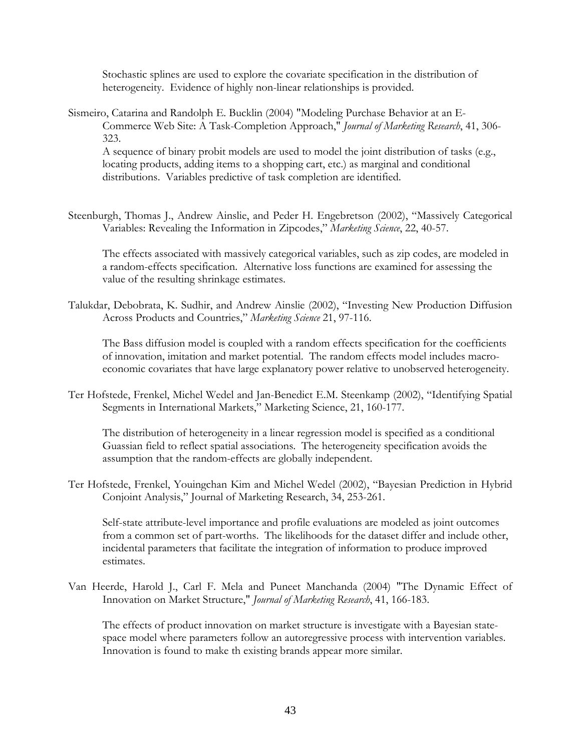Stochastic splines are used to explore the covariate specification in the distribution of heterogeneity. Evidence of highly non-linear relationships is provided.

Sismeiro, Catarina and Randolph E. Bucklin (2004) "Modeling Purchase Behavior at an E-Commerce Web Site: A Task-Completion Approach," *Journal of Marketing Research*, 41, 306- 323.

A sequence of binary probit models are used to model the joint distribution of tasks (e.g., locating products, adding items to a shopping cart, etc.) as marginal and conditional distributions. Variables predictive of task completion are identified.

Steenburgh, Thomas J., Andrew Ainslie, and Peder H. Engebretson (2002), "Massively Categorical Variables: Revealing the Information in Zipcodes," *Marketing Science*, 22, 40-57.

The effects associated with massively categorical variables, such as zip codes, are modeled in a random-effects specification. Alternative loss functions are examined for assessing the value of the resulting shrinkage estimates.

Talukdar, Debobrata, K. Sudhir, and Andrew Ainslie (2002), "Investing New Production Diffusion Across Products and Countries," *Marketing Science* 21, 97-116.

The Bass diffusion model is coupled with a random effects specification for the coefficients of innovation, imitation and market potential. The random effects model includes macroeconomic covariates that have large explanatory power relative to unobserved heterogeneity.

Ter Hofstede, Frenkel, Michel Wedel and Jan-Benedict E.M. Steenkamp (2002), "Identifying Spatial Segments in International Markets," Marketing Science, 21, 160-177.

The distribution of heterogeneity in a linear regression model is specified as a conditional Guassian field to reflect spatial associations. The heterogeneity specification avoids the assumption that the random-effects are globally independent.

Ter Hofstede, Frenkel, Youingchan Kim and Michel Wedel (2002), "Bayesian Prediction in Hybrid Conjoint Analysis," Journal of Marketing Research, 34, 253-261.

Self-state attribute-level importance and profile evaluations are modeled as joint outcomes from a common set of part-worths. The likelihoods for the dataset differ and include other, incidental parameters that facilitate the integration of information to produce improved estimates.

Van Heerde, Harold J., Carl F. Mela and Puneet Manchanda (2004) "The Dynamic Effect of Innovation on Market Structure," *Journal of Marketing Research*, 41, 166-183.

The effects of product innovation on market structure is investigate with a Bayesian statespace model where parameters follow an autoregressive process with intervention variables. Innovation is found to make th existing brands appear more similar.